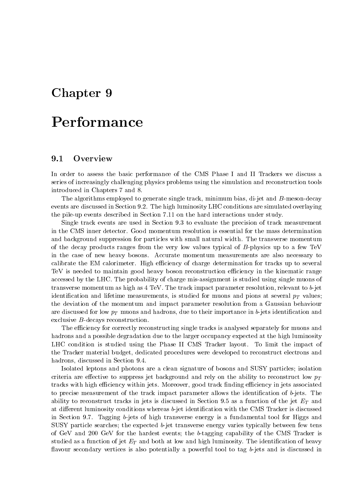# Chapter <sup>9</sup>

# Performance

### 9.1**Overview**

In order to assess the basic performance of the CMS Phase I and II Trackers we discuss a series of increasingly challenging physics problems using the simulation and reconstruction tools introduced in Chapters 7 and 8.

The algorithms employed to generate single track, minimum bias, di-jet and B-meson-decay events are discussed in Section 9.2. The high luminosity LHC conditions are simulated overlaying the pile-up events described in Section 7.11 on the hard interactions under study.

Single track events are used in Section 9.3 to evaluate the precision of track measurement in the CMS inner detector. Good momentum resolution is essential for the mass determination and background suppression for particles with small natural width. The transverse momentum of the decay products ranges from the very low values typical of B-physics up to a few TeV in the case of new heavy bosons. Accurate momentum measurements are also necessary to calibrate the EM calorimeter. High efficiency of charge determination for tracks up to several TeV is needed to maintain good heavy boson reconstruction efficiency in the kinematic range accessed by the LHC. The probability of charge mis-assignment is studied using single muons of transverse momentum as high as  $4 \text{ TeV}$ . The track impact parameter resolution, relevant to b-jet identication and lifetime measurements, is studied for muons at several pT values; is studied for  $\Gamma$  values; in the pions at several pT values; is studied for muons at several pT values; is studied for muons at several the deviation of the momentum and impact parameter resolution from a Gaussian behaviour are discussed for low pT muons and hadrons, due to their importance in b-jets identication and exclusive B-decays reconstruction.

The efficiency for correctly reconstructing single tracks is analysed separately for muons and hadrons and a possible degradation due to the larger occupancy expected at the high luminosity LHC condition is studied using the Phase II CMS Tracker layout. To limit the impact of the Tracker material budget, dedicated procedures were developed to reconstruct electrons and hadrons, discussed in Section 9.4.

Isolated leptons and photons are a clean signature of bosons and SUSY particles; isolation criteria are effective to suppress jet background and rely on the ability to reconstruct low  $p_T$ tracks with high efficiency within jets. Moreover, good track finding efficiency in jets associated to precise measurement of the track impact parameter allows the identification of  $b$ -jets. The ability to reconstruct tracks in jets is discussed in Section 9.5 as a function of the jet  $\equiv$  and  $\equiv$ at different luminosity conditions whereas b-jet identification with the CMS Tracker is discussed in Section 9.7. Tagging b-jets of high transverse energy is a fundamental tool for Higgs and SUSY particle searches; the expected b-jet transverse energy varies typically between few tens of GeV and 200 GeV for the hardest events; the b-tagging capability of the CMS Tracker is studied as a function of jet  $\pm 1$  and both at low and high luminosity. The identication of heavy flavour secondary vertices is also potentially a powerful tool to tag  $b$ -jets and is discussed in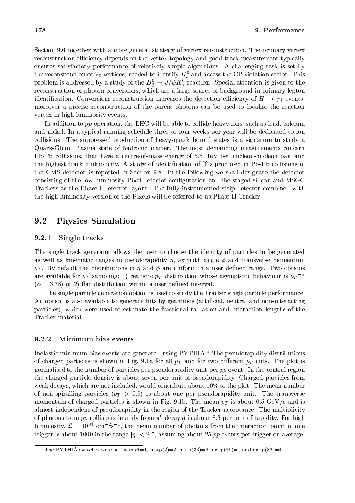Section 9.6 together with a more general strategy of vertex reconstruction. The primary vertex reconstruction efficiency depends on the vertex topology and good track measurement typically ensures satisfactory performance of relatively simple algorithms. A challenging task is set by the reconstruction of  $v_0$  vertices, needed to identify  $K_s$  and access the CP violation sector. This problem is addressed by a study of the  $B_d^0 \rightarrow J/\psi K^0_s$  reaction. Special attention is given to the reconstruction of photon conversions, which are a large source of background in primary lepton identification. Conversions reconstruction increases the detection efficiency of  $H \to \gamma\gamma$  events; moreover a precise reconstruction of the parent photons can be used to localise the reaction vertex in high luminosity events.

In addition to pp operation, the LHC will be able to collide heavy ions, such as lead, calcium and nickel. In a typical running schedule three to four weeks per year will be dedicated to ion collisions. The suppressed production of heavy-quark bound states is a signature to study a Quark-Gluon Plasma state of hadronic matter. The most demanding measurements concern Pb-Pb collisions, that have a centre-of-mass energy of 5.5 TeV per nucleon-nucleon pair and the highest track multiplicity. A study of identification of  $\Upsilon$ 's produced in Pb-Pb collisions in the CMS detector is reported in Section 9.8. In the following we shall designate the detector consisting of the low luminosity Pixel detector conguration and the staged silicon and MSGC Trackers as the Phase I detector layout. The fully instrumented strip detector combined with the high luminosity version of the Pixels will be referred to as Phase II Tracker.

### 9.2Physics Simulation

## 9.2.1 Single tracks

The single track generator allows the user to choose the identity of particles to be generated as well as kinematic ranges in pseudorapidity  $\eta$ , azimuth angle  $\phi$  and transverse momentum  $p$  . By default the distributions in and  $p$  uniform in and  $p$  uniform in a user definition in a user default options in a user default of  $\alpha$ are available for  $p_T$  sampling: 1) realistic  $p_T$  distribution whose asymptotic behaviour is  $p_T$   $\tilde{}}$  $(\alpha = 3.78)$  or 2) flat distribution within a user defined interval.

The single particle generation option is used to study the Tracker single particle performance. An option is also available to generate hits by geantinos (articial, neutral and non-interacting particles), which were used to estimate the fractional radiation and interaction lengths of the Tracker material.

### 9.2.2 Minimum bias events

Inelastic minimum bias events are generated using  $PYTHIA<sup>1</sup>$ . The pseudorapidity distributions of charged particles is shown in Fig.9.1a for all pT and for two dierent pT cuts. The plot is normalised to the number of particles per pseudorapidity unit per pp event. In the central region the charged particle density is about seven per unit of pseudorapidity. Charged particles from weak decays, which are not included, would contribute about 10% to the plot. The mean number of non-spiralling particles (pT <sup>&</sup>gt; 0:9) is about one per pseudorapidity unit. The transverse momentum of charged particles is shown in Fig. 9.1b. The mean pT is about 0.5 GeV/c and is about 0.5 GeV/c and is about 0.5 GeV/c and is about 0.5 GeV/c and is about 0.5 GeV/c and is about 0.5 GeV/c and is about 0.5 GeV/c almost independent of pseudorapidity in the region of the Tracker acceptance. The multiplicity of photons from pp collisions (mainly from  $\pi^0$  decays) is about 8.3 per unit of rapidity. For high luminosity,  $\mathcal{L} = 10^{32}$  cm  $^{-2}$ s  $^{-1}$ , the mean number of photons from the interaction point in one trigger is about 1000 in the range  $|\eta| < 2.5$ , assuming about 25 pp events per trigger on average.

<sup>&</sup>lt;sup>1</sup>The PYTHIA switches were set at msel=1, mstp(2)=2, mstp(33)=3, mstp(81)=1 and mstp(82)=4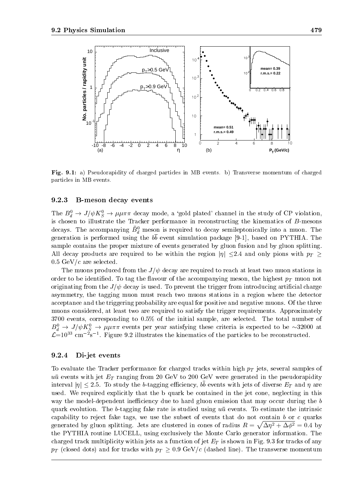

Fig. 9.1: a) Pseudorapidity of charged particles in MB events. b) Transverse momentum of charged particles in MB events.

### 9.2.3 B-meson decay events

The  $B_d^0 \to J/\psi K_S^0 \to \mu \mu \pi \pi$  decay mode, a 'gold plated' channel in the study of CP violation, is chosen to illustrate the Tracker performance in reconstructing the kinematics of B-mesons decays. The accompanying  $B_d$  meson is required to decay semileptonically into a muon. The  $\alpha$  is contrast to performed using the bb event simulation package [9-1], based on PYTHIA. The  $\alpha$ sample contains the proper mixture of events generated by gluon fusion and by gluon splitting. All decay products are required to be within the region jj 2.4 and only pions with pT 0.5 GeV/ $c$  are selected.

The muons produced from the  $J/\psi$  decay are required to reach at least two muon stations in order to be identified. To tag the front are the the accompanying meson, the highest py interest from originating from the  $J/\psi$  decay is used. To prevent the trigger from introducing artificial charge asymmetry, the tagging muon must reach two muons stations in a region where the detector acceptance and the triggering probability are equal for positive and negative muons. Of the three muons considered, at least two are required to satisfy the trigger requirements. Approximately 3700 events, corresponding to 0.5% of the initial sample, are selected. The total number of  $D_d \to J/\psi K_S \to \mu \mu \pi \pi$  events per year satisfying these criteria is expected to be  $\sim$ 32000 at  $\mathcal{L}$ =10<sup>33</sup> cm<sup>-2</sup>s<sup>-1</sup>. Figure 9.2 illustrates the kinematics of the particles to be reconstructed.

#### 9.2.4 Di-jet events

To evaluate the Tracker performance for charged tracks within high pT jets, several samples of uu events with jet ET ranging from 200 GeV to 200 GeV were gevenerated in the pseudorapidity  $\max_{\{i,j\}}$   $\leq$  2.5. To study the b-tagging enferency, be events with jets of diverse  $E_T$  and  $\eta$  are used. We required explicitly that the b quark be contained in the jet cone, neglecting in this way the model-dependent inefficiency due to hard gluon emission that may occur during the  $b$ quark evolution. The b-tagging fake rate is studied using  $u\bar{u}$  events. To estimate the intrinsic capability to reject fake tags, we use the subset of events that do not contain  $b$  or  $c$  quarks generated by gluon splitting. Jets are clustered in cones of radius  $R = \sqrt{\Delta \eta^2 + \Delta \phi^2} = 0.4$  by the PYTHIA routine LUCELL, using exclusively the Monte Carlo generator information. The charged track multiplicity within jets as a function of jet  $\pm 1$  is shown in Fig. 9.3 for the contract of any  $p$  (close for the form for tracks with pT  $p$  )  $p$  (discussed the transverse momentum contracts momentum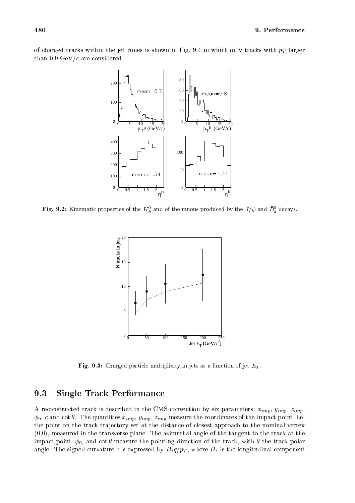



**Fig. 9.2:** Kinematic properties of the  $K_{\tilde{S}}$  and of the muons produced by the  $J/\psi$  and  $D_{\tilde{d}}$  decays.



**Fig. 9.3:** Charged particle multiplicity in jets as a function of jet  $E_T$ .

### 9.3Single Track Performance

A reconstructed track is described in the CMS convention by six parameters:  $x_{imp}$ ,  $y_{imp}$ ,  $z_{imp}$ ,  $\phi_0$ , c and cot  $\theta$ . The quantities  $x_{imp}$ ,  $y_{imp}$ ,  $z_{imp}$  measure the coordinates of the impact point, i.e. the point on the track trajectory set at the distance of closest approach to the nominal vertex (0,0), measured in the transverse plane. The azimuthal angle of the tangent to the track at the impact point,  $\phi_0$ , and cot  $\theta$  measure the pointing direction of the track, with  $\theta$  the track polar angler. The signed curvature component component  $\mu =\mu$  ,  $\mu_{\perp}$  , where  $\mu$  is the longitudinal component component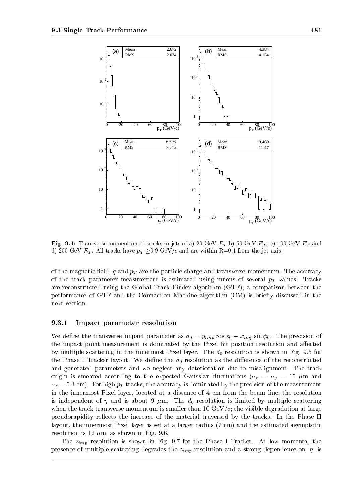

Fig. 9.4: Transverse momentum of tracks in jets of a) zo Gev  $E_T$  b) 50 Gev  $E_T$ , c) for Gev  $E_T$  and d) 200 GeV  $E_T$ . All tracks have  $p_T \geq 0.9$  GeV/c and are within R=0.4 from the jet axis.

of the magnetic eld, q and pT are the particle charge and transverse momentum. The accuracy of the track parameter measurement is estimated using muons of several pT variable  $\mathbb{R}^+$ are reconstructed using the Global Track Finder algorithm (GTF); a comparison between the performance of GTF and the Connection Machine algorithm (CM) is briefly discussed in the next section.

### 9.3.1 Impact parameter resolution

We define the transverse impact parameter as  $d_0 = y_{imp} \cos \phi_0 - x_{imp} \sin \phi_0$ . The precision of the impact point measurement is dominated by the Pixel hit position resolution and affected by multiple scattering in the innermost Pixel layer. The  $d_0$  resolution is shown in Fig. 9.5 for the Phase I Tracker layout. We define the  $d_0$  resolution as the difference of the reconstructed and generated parameters and we neglect any deterioration due to misalignment. The track original is smaller according to the expected Gaussian material  $\alpha$   $\alpha$   $\beta$  y  $\alpha$  and  $\beta$  and  $\alpha$  $z$   $\omega$  = 5:3 cm). For the accuracy is dominated by the accuracy is dominated by the precision of the measurement. in the innermost Pixel layer, located at a distance of 4 cm from the beam line; the resolution is independent of  $\eta$  and is about 9  $\mu$ m. The  $d_0$  resolution is limited by multiple scattering when the track transverse momentum is smaller than  $10 \text{ GeV}/c$ ; the visible degradation at large pseudorapidity reflects the increase of the material traversed by the tracks. In the Phase II layout, the innermost Pixel layer is set at a larger radius (7 cm) and the estimated asymptotic resolution is 12  $\mu$ m, as shown in Fig. 9.6.

The zimp resolution is shown in Fig. 9.7 for the Phase <sup>I</sup> Tracker. At low momenta, the presence of multiple scattering degrades the zimp resolution and <sup>a</sup> strong dependence on jj is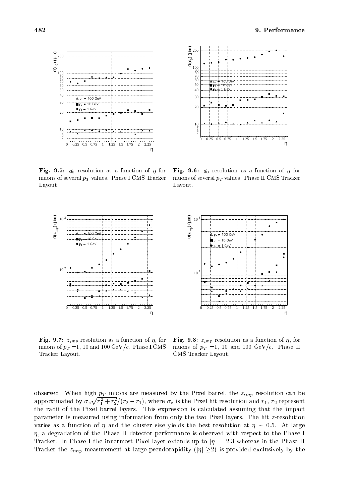η



 $\mathbf{F}$   $\mathbf{F}$   $\mathbf{F}$   $\mathbf{F}$   $\mathbf{F}$   $\mathbf{F}$   $\mathbf{F}$   $\mathbf{F}$   $\mathbf{F}$   $\mathbf{F}$   $\mathbf{F}$   $\mathbf{F}$   $\mathbf{F}$   $\mathbf{F}$   $\mathbf{F}$   $\mathbf{F}$   $\mathbf{F}$   $\mathbf{F}$   $\mathbf{F}$   $\mathbf{F}$   $\mathbf{F}$   $\mathbf{F}$   $\mathbf{F}$   $\mathbf{F}$   $\mathbf{$ muons of several  $p_T$  values. Phase I CMS Tracker Layout.



0 0.25 0.5 0.75 1 1.25 1.5 1.75 2 2.25

100 GeV  $= 100$  $1 \text{ GeV}$ 

7 8 <sup>1</sup><sup>9</sup>

200

 $σ(d<sub>0</sub>) (µm)$ 



 $\mathbf{F}$  .  $\mathbf{F}$  ,  $\mathbf{F}$  ,  $\mathbf{F}$  and  $\mathbf{F}$  is a function of  $\mathbf{F}$  . For a function of  $\mathbf{F}$ muons of  $p_T = 1$ , 10 and 100 GeV/c. Phase I CMS Tracker Layout.

σ(zimp) (µm) 1<sub>0</sub> 100 Ge  $\stackrel{+}{\text{--}}$  10 GeV  $\pm$  1 GeV  $\bullet$  $10$ 0 0.25 0.5 0.75 1 1.25 1.5 1.75 2 2.25 η

 $\mathbf{F}=\mathbf{F}\mathbf{G}$ , and  $\mathbf{F}$  implies the function of  $\mathbf{F}$  and  $\mathbf{F}$  as a function of  $\mathbf{F}$ muons of  $p_T =1$ , 10 and 100 GeV/c. Phase II CMS Tracker Layout.

observed. When high pT muons are measured by the Pixel barrel barrel barrel, the zimp  $\mu_{100}$  parameter can be a approximated by  $\sigma_z\sqrt{r_1^2+r_2^2}/(r_2-r_1)$ , where  $\sigma_z$  is the Pixel hit resolution and  $r_1$ ,  $r_2$  represent the radii of the Pixel barrel layers. This expression is calculated assuming that the impact parameter is measured using information from only the two Pixel layers. The hit z-resolution varies as a function of  $\eta$  and the cluster size yields the best resolution at  $\eta \sim 0.5$ . At large  $\eta$ , a degradation of the Phase II detector performance is observed with respect to the Phase I Tracker. In Phase I the innermost Pixel layer extends up to  $|\eta| = 2.3$  whereas in the Phase II Tracker the  $\alpha$   $\mu$   $\mu$  at large pseudorapidity (iii) is provided exclusively by the provided exclusively by the provided exclusively by the provided exclusively by the provided exclusively by the provided exclusively

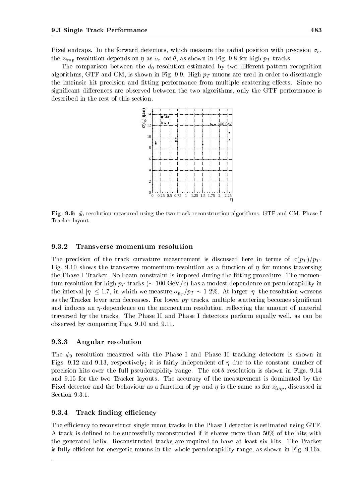Pixel endcaps. In the forward detectors, which measure the radial position with precision  $\sigma_r$ , the zimp resolution depends on the resolution of the shown in Fig. 9.8 for the straight  $\mu$  tracks.

The comparison between the  $d_0$  resolution estimated by two different pattern recognition algorithms, GTF and CM, is shown in Fig. 9.9. High property  $\mu$  muons are used in order to disentangle the intrinsic hit precision and fitting performance from multiple scattering effects. Since no significant differences are observed between the two algorithms, only the GTF performance is described in the rest of this section.



 ${\bf r}$ ig. 9.9:  $a_0$  resolution measured using the two track reconstruction algorithms, GTF and CM. Fhase I Tracker layout.

## 9.3.2 Transverse momentum resolution

The precision of the track curvature measurement is discussed here in terms of  $\mathcal{N}=pT$  . If  $pT$ Fig. 9.10 shows the transverse momentum resolution as a function of  $\eta$  for muons traversing the Phase I Tracker. No beam constraint is imposed during the fitting procedure. The momenturn resolution for high pT tracks (  $100\pm 100$  GeV/c) has a modest dependence on pseudorapidity in pseudorapidity in  $100\pm 100$ the interval  $|\eta| \leq 1.7$ , in which we measure  $\sigma_{p_T}/p_T \sim 1-2\%$ . At larger  $|\eta|$  the resolution worsens as the Trackers lever arm decreases. For lower pT tracker) multiple scattering becomes significant significant and induces an  $\eta$ -dependence on the momentum resolution, reflecting the amount of material traversed by the tracks. The Phase II and Phase I detectors perform equally well, as can be observed by comparing Figs. 9.10 and 9.11.

### 9.3.3 Angular resolution

The  $\phi_0$  resolution measured with the Phase I and Phase II tracking detectors is shown in Figs. 9.12 and 9.13, respectively; it is fairly independent of  $\eta$  due to the constant number of precision hits over the full pseudorapidity range. The  $\cot \theta$  resolution is shown in Figs. 9.14 and 9.15 for the two Tracker layouts. The accuracy of the measurement is dominated by the  $\Gamma$  and the behaviour as a function of pure as a function of pure as for  $\Gamma$  and  $\Gamma$ Section 9.3.1.

# 9.3.4 Track finding efficiency

The efficiency to reconstruct single muon tracks in the Phase I detector is estimated using GTF. A track is defined to be successfully reconstructed if it shares more than 50% of the hits with the generated helix. Reconstructed tracks are required to have at least six hits. The Tracker is fully efficient for energetic muons in the whole pseudorapidity range, as shown in Fig. 9.16a.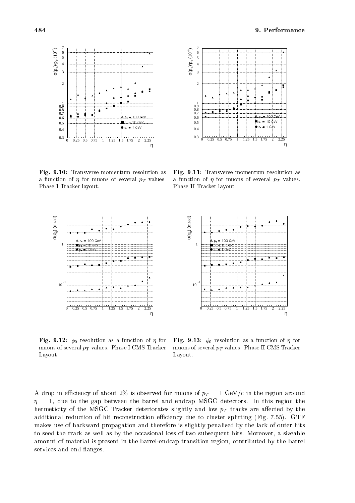

Fig. 9.10: Transverse momentum resolution as a function of  $\eta$  for muons of several  $p_T$  values. Phase I Tracker layout.



2

σ( $p_T$ )/ $p_T$  (10<sup>-2</sup>)

Fig. 9.11: Transverse momentum resolution as a function of  $\eta$  for muons of several  $p_T$  values. Phase II Tracker layout.



Fig. 9.12: 0 resolution as <sup>a</sup> function of for muons of several  $p_T$  values. Phase I CMS Tracker Layout.



Fig. 9.13: 0 resolution as <sup>a</sup> function of for muons of several  $p_T$  values. Phase II CMS Tracker Layout.

A drop in the drop in the set of  $\sim$  2 GeV/c is observed for muons of pT  $=1$  GeV/c in the region around  $\sim$  $\eta = 1$ , due to the gap between the barrel and endcap MSGC detectors. In this region the hermeticity of the MSGC Trackers slightly and low proposed and low pT tracks are also the low pT tracks are a additional reduction of hit reconstruction efficiency due to cluster splitting (Fig. 7.55). GTF makes use of backward propagation and therefore is slightly penalised by the lack of outer hits to seed the track as well as by the occasional loss of two subsequent hits. Moreover, a sizeable amount of material is present in the barrel-endcap transition region, contributed by the barrel services and end-flanges.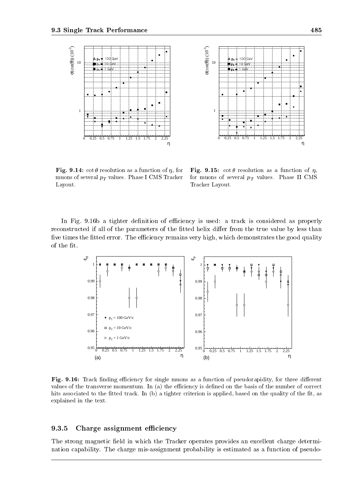



 $\mathbf{r}_1$ g. 9.14: cot  $\sigma$  resolution as a function of  $\eta$ , for  $\mathbf{r}_1$  reg muons of several  $p_T$  values. Phase I CMS Tracker Layout.

Fig. 9.15: cot resolution as a function of , for muons of several  $p_T$  values. Phase II CMS Tracker Layout.

In Fig. 9.16b a tighter definition of efficiency is used: a track is considered as properly reconstructed if all of the parameters of the fitted helix differ from the true value by less than five times the fitted error. The efficiency remains very high, which demonstrates the good quality of the fit.



Fig. 9.16: Track nding eciency for single muons as a function of pseudorapidity, for three dierent values of the transverse momentum. In (a) the efficiency is defined on the basis of the number of correct hits associated to the fitted track. In (b) a tighter criterion is applied, based on the quality of the fit, as explained in the text.

# 9.3.5 Charge assignment efficiency

The strong magnetic field in which the Tracker operates provides an excellent charge determination capability. The charge mis-assignment probability is estimated as a function of pseudo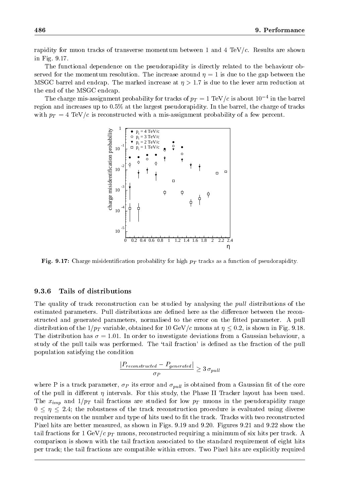rapidity for muon tracks of transverse momentum between 1 and 4 TeV/c. Results are shown in Fig. 9.17.

The functional dependence on the pseudorapidity is directly related to the behaviour observed for the momentum resolution. The increase around  $\eta = 1$  is due to the gap between the MSGC barrel and endcap. The marked increase at  $\eta > 1.7$  is due to the lever arm reduction at the end of the MSGC endcap.

The charge mis-assignment probability for tracks of  $p_T = 1~{\rm TeV}/c$  is about 10  $^{+}$  in the barrel region and increases up to 0:5% at the largest pseudorapidity. In the barrel, the charge of tracks with pT  $\sim$  TeV/c is reconstructed with a mis-assignment probability of a few percent. The few percent.



**Fig. 9.17:** Charge misidentification probability for high  $p_T$  tracks as a function or pseudorapidity.

### 9.3.6 Tails of distributions

The quality of track reconstruction can be studied by analysing the *pull* distributions of the estimated parameters. Pull distributions are defined here as the difference between the reconstructed and generated parameters, normalised to the error on the fitted parameter. A pull distribution of the 1-pT variable, obtained for 10 GeV/c muons at 10 GeV/c muons at  $\mathbf{0}$ The distribution has  $\sigma = 1.01$ . In order to investigate deviations from a Gaussian behaviour, a study of the pull tails was performed. The 'tail fraction' is defined as the fraction of the pull population satisfying the condition

$$
\frac{|P_{reconstructed}-P_{generated}|}{\sigma_P} \geq 3 \sigma_{pull}
$$

 $\Gamma$  is a track parameter,  $P$  is obtained from a Gaussian track pulle from a Gaussian track  $P$  and  $P$ of the pull in different  $\eta$  intervals. For this study, the Phase II Tracker layout has been used. The studied form  $\sim$   $\mu$  is the studied for the protons in the pseudorapidity range for the pseudorapidity range  $\alpha$  $0 \leq \eta \leq 2.4$ ; the robustness of the track reconstruction procedure is evaluated using diverse requirements on the number and type of hits used to fit the track. Tracks with two reconstructed Pixel hits are better measured, as shown in Figs. 9.19 and 9.20. Figures 9.21 and 9.22 show the tail fractions for 1 GeV/c pT muons, reconstructed requiring a minimum of six hits per track. A minimum of six hits per track. A minimum of six hits per track. A minimum of six hits per track. A minimum of six hits per tr comparison is shown with the tail fraction associated to the standard requirement of eight hits per track; the tail fractions are compatible within errors. Two Pixel hits are explicitly required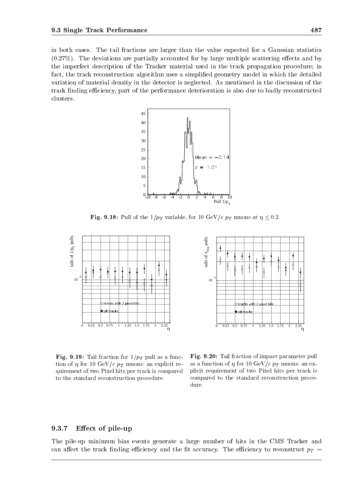in both cases. The tail fractions are larger than the value expected for a Gaussian statistics  $(0.27\%)$ . The deviations are partially accounted for by large multiple scattering effects and by the imperfect description of the Tracker material used in the track propagation procedure; in fact, the track reconstruction algorithm uses a simplified geometry model in which the detailed variation of material density in the detector is neglected. As mentioned in the discussion of the track finding efficiency, part of the performance deterioration is also due to badly reconstructed clusters.



**Fig. 9.18:** Full of the 1/pT variable, for 10 GeV/c pT muons at  $\eta \sim 0.2$ .





Fig. 9.19: Tail fraction for 1=pT pull as a function of  $\eta$  for 10 GeV/c  $p_T$  muons; an explicit requirement of two Pixel hits per track is compared to the standard reconstruction procedure.

Fig. 9.20: Tail fraction of impact parameter pull as a function of  $\eta$  for 10 GeV/c  $p_T$  muons; an explicit requirement of two Pixel hits per track is compared to the standard reconstruction procedure.

# 9.3.7 Effect of pile-up

The pile-up minimum bias events generate a large number of hits in the CMS Tracker and can accure the track normal economic and the track of the economic the economic to reconstruct pT  $_{\rm r}$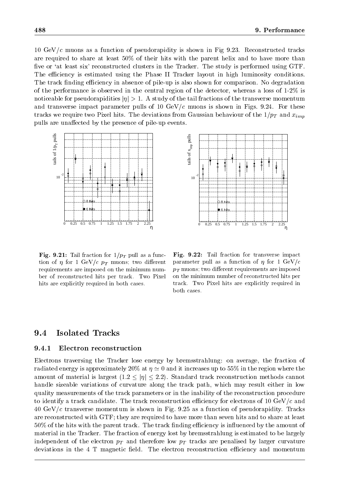10 GeV/c muons as a function of pseudorapidity is shown in Fig 9.23. Reconstructed tracks are required to share at least 50% of their hits with the parent helix and to have more than five or 'at least six' reconstructed clusters in the Tracker. The study is performed using GTF. The efficiency is estimated using the Phase II Tracker layout in high luminosity conditions. The track finding efficiency in absence of pile-up is also shown for comparison. No degradation of the performance is observed in the central region of the detector, whereas a loss of 1-2% is noticeable for pseudorapidities  $|\eta| > 1$ . A study of the tail fractions of the transverse momentum and transverse impact parameter pulls of 10  $GeV/c$  muons is shown in Figs. 9.24. For these tracks we require two Pixel hits. Pixel hits. The deviations from Gaussian behaviour of the 1=pT and  $\sim$   $\mu_{H}$ pulls are unaffected by the presence of pile-up events.





 $\mathbf{F}$   $\mathbf{F}$   $\mathbf{F}$   $\mathbf{F}$   $\mathbf{F}$   $\mathbf{F}$   $\mathbf{F}$  as a function for  $\mathbf{F}$  and  $\mathbf{F}$   $\mathbf{F}$  and  $\mathbf{F}$  and  $\mathbf{F}$  and  $\mathbf{F}$  and  $\mathbf{F}$  and  $\mathbf{F}$  and  $\mathbf{F}$  and  $\mathbf{F}$  and  $\mathbf{F}$  and tion of  $\eta$  for 1 GeV/c  $p_T$  muons; two different requirements are imposed on the minimum number of reconstructed hits per track. Two Pixel hits are explicitly required in both cases.

Fig. 9.22: Tail fraction for transverse impact parameter pull as a function of  $\eta$  for 1 GeV/c  $p_T$  muons; two different requirements are imposed on the minimum number of reconstructed hits per track. Two Pixel hits are explicitly required in both cases.

### 9.4Isolated Tracks

# 9.4.1 Electron reconstruction

Electrons traversing the Tracker lose energy by bremsstrahlung: on average, the fraction of radiated energy is approximately 20% at  $\eta \simeq 0$  and it increases up to 55% in the region where the amount of material is largest  $(1.2 \le |\eta| \le 2.2)$ . Standard track reconstruction methods cannot handle sizeable variations of curvature along the track path, which may result either in low quality measurements of the track parameters or in the inability of the reconstruction procedure to identify a track candidate. The track reconstruction efficiency for electrons of 10  $GeV/c$  and  $40 \text{ GeV}/c$  transverse momentum is shown in Fig. 9.25 as a function of pseudorapidity. Tracks are reconstructed with GTF; they are required to have more than seven hits and to share at least 50% of the hits with the parent track. The track finding efficiency is influenced by the amount of material in the Tracker. The fraction of energy lost by bremsstrahlung is estimated to be largely independent of the electron pT and therefore low pT tracks are penalised by larger curvature deviations in the 4 T magnetic field. The electron reconstruction efficiency and momentum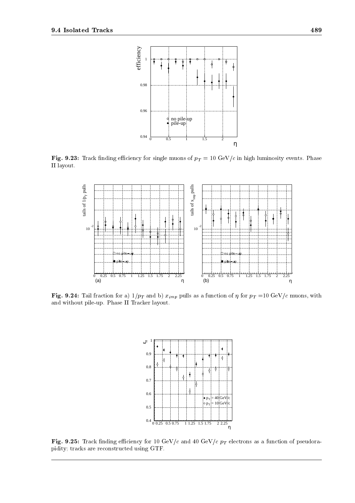

**Fig. 9.23:** Track muding emclency for single muons of  $p_T = 10 \text{ GeV}/c$  in high ruminosity events. Friase II layout.



Fig. 9.24: Tail fraction for a) 1/pT and b)  $x_{imn}$  pulls as a function of  $\eta$  for  $p_T =$ 10 GeV/c muons, with and without pile-up. Phase II Tracker layout.



 $\mathbf{F}$  .  $\mathbf{F}$  ,  $\mathbf{F}$  and  $\mathbf{F}$  and  $\mathbf{F}$  and  $\mathbf{F}$  and  $\mathbf{F}$  are  $\mathbf{F}$  of  $\mathbf{F}$  electrons as a function of pseudorapidity; tracks are reconstructed using GTF.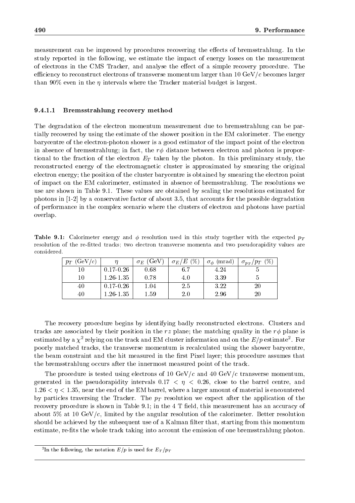measurement can be improved by procedures recovering the effects of bremsstrahlung. In the study reported in the following, we estimate the impact of energy losses on the measurement of electrons in the CMS Tracker, and analyse the effect of a simple recovery procedure. The efficiency to reconstruct electrons of transverse momentum larger than  $10 \text{ GeV}/c$  becomes larger than 90% even in the  $\eta$  intervals where the Tracker material budget is largest.

#### 9.4.1.1Bremsstrahlung recovery method

The degradation of the electron momentum measurement due to bremsstrahlung can be partially recovered by using the estimate of the shower position in the EM calorimeter. The energy barycentre of the electron-photon shower is a good estimator of the impact point of the electron in absence of bremsstrahlung; in fact, the  $r\phi$  distance between electron and photon is proportional to the fraction of the electron  $\pm$  taken by the photonic electron preliminary study, the photon  $\mu$ reconstructed energy of the electromagnetic cluster is approximated by smearing the original electron energy; the position of the cluster barycentre is obtained by smearing the electron point of impact on the EM calorimeter, estimated in absence of bremsstrahlung. The resolutions we use are shown in Table 9.1. These values are obtained by scaling the resolutions estimated for photons in [1-2] by a conservative factor of about 3.5, that accounts for the possible degradation of performance in the complex scenario where the clusters of electron and photons have partial overlap.

 $T$ able 9.1: Calorimeter energy and  $\gamma$  resolution used in this study together with the expected  $p_T$ resolution of the re-fitted tracks; two electron transverse momenta and two pseudorapidity values are considered.

| (GeV/c)<br>$p_T$ |               | $\sigma_E$ (GeV) | $(\%)$<br>$\sigma_E/E$ | (mrad)<br>$\sigma_{\phi}$ | $(\%)$<br>$\sigma_{p_T}/p_T$ |
|------------------|---------------|------------------|------------------------|---------------------------|------------------------------|
| 10               | $0.17 - 0.26$ | 0.68             | 6.7                    | 4.24                      |                              |
| 10               | $1.26 - 1.35$ | 0.78             | 4.0                    | 3.39                      |                              |
| 40               | $0.17 - 0.26$ | $1.04\,$         | 2.5                    | 3.22                      | $20\,$                       |
| 40               | $1.26 - 1.35$ | $1.59\,$         | 2.0                    | 2.96                      | $20\,$                       |

The recovery procedure begins by identifying badly reconstructed electrons. Clusters and tracks are associated by their position in the rz plane; the matching quality in the  $r\phi$  plane is estimated by a  $\chi^{\pm}$  relying on the track and EM cluster information and on the  $E$  /  $p$  estimate  $\pm$  . For poorly matched tracks, the transverse momentum is recalculated using the shower barycentre, the beam constraint and the hit measured in the first Pixel layer; this procedure assumes that the bremsstrahlung occurs after the innermost measured point of the track.

The procedure is tested using electrons of 10 GeV/c and 40 GeV/c transverse momentum, generated in the pseudorapidity intervals  $0.17 < \eta < 0.26$ , close to the barrel centre, and  $1.26 < \eta < 1.35$ , near the end of the EM barrel, where a larger amount of material is encountered by particles traversing the Tracker. The pT resolution we expect after the application of the recovery procedure is shown in Table 9.1; in the  $4$  T field, this measurement has an accuracy of about  $5\%$  at 10 GeV/c, limited by the angular resolution of the calorimeter. Better resolution should be achieved by the subsequent use of a Kalman filter that, starting from this momentum estimate, re-fits the whole track taking into account the emission of one bremsstrahlung photon.

In the following, the notation  $E/p$  is used for  $E_T/p_T$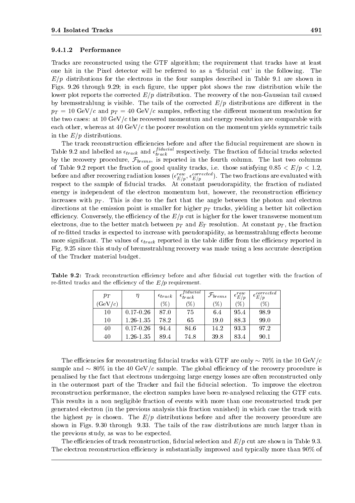#### 9.4.1.2Performance

Tracks are reconstructed using the GTF algorithm; the requirement that tracks have at least one hit in the Pixel detector will be referred to as a 'fiducial cut' in the following. The  $E/p$  distributions for the electrons in the four samples described in Table 9.1 are shown in Figs. 9.26 through 9.29; in each figure, the upper plot shows the raw distribution while the lower plot reports the corrected  $E/p$  distribution. The recovery of the non-Gaussian tail caused by bremsstrahlung is visible. The tails of the corrected  $E/p$  distributions are different in the pT = 10 GeV/c and pT = 40 GeV/c samples, re
ecting the dierent momentum resolution for the two cases: at 10 GeV/c the recovered momentum and energy resolution are comparable with each other, whereas at 40 GeV/ $c$  the poorer resolution on the momentum yields symmetric tails in the  $E/p$  distributions.

The track reconstruction efficiencies before and after the fiducial requirement are shown in Table 9.2 and labelled as  $\epsilon_{track}$  and  $\epsilon_{track}^{I^\text{uuc}au}$  resp  $\mathbf{r}_i$  respectively. The fraction of  $\mathbf{r}_i$  of  $\mathbf{r}_i$  of  $\mathbf{r}_i$  of  $\mathbf{r}_i$  of  $\mathbf{r}_i$  of  $\mathbf{r}_i$  of  $\mathbf{r}_i$  of  $\mathbf{r}_i$  of  $\mathbf{r}_i$  of  $\mathbf{r}_i$  of  $\mathbf{r}_i$  of  $\mathbf{r}_i$  of  $\mathbf{r}_i$  of  $\mathbf{r}_i$  of by the recovery procedure,  $\mathcal{F}_{brems}$ , is reported in the fourth column. The last two columns of Table 9.2 report the fraction of good quality tracks, i.e. those satisfying  $0.85 < E/p < 1.2$ , before and after recovering radiation losses ( $\epsilon_{E/p}^{\phantom{E}}$ ,  $\epsilon_{E/p}^{\phantom{E}}$  ). The two fractions are evaluated with respect to the sample of fiducial tracks. At constant pseudorapidity, the fraction of radiated energy is independent of the electron momentum but, however, the reconstruction efficiency increases with pT . This is due to the fact that the fact that the angle between the photon angle between the photon and electron and electron angle between the photon and electron and electron and electron and electron a directions at the emission point is smaller for mighter  $p$  tracks, yielding a better hit collection  $\sim$ efficiency. Conversely, the efficiency of the  $E/p$  cut is higher for the lower transverse momentum electrons, due to the better match between pT and ET resolution. At constant pT , the fraction of re-fitted tracks is expected to increase with pseudorapidity, as bremsstrahlung effects become more significant. The values of track reported in the table dier from the economic reported in the economic rep Fig. 9.25 since this study of bremsstrahlung recovery was made using a less accurate description of the Tracker material budget.

| $p_T$   | η             | $\epsilon_{track}$ | fiducial<br>$\epsilon_{track}$ | $\mathcal{F}_{brems}$ | $\epsilon_{E/p}^{raw}$ | corrected<br>$\epsilon_{E/p}$ |  |
|---------|---------------|--------------------|--------------------------------|-----------------------|------------------------|-------------------------------|--|
| (GeV/c) |               | $\mathscr{C}_0$    | $\mathscr{C}_0$                | $\mathscr{C}_0$       | $\%$                   | $(\%)$                        |  |
| 10      | $0.17 - 0.26$ | 87.0               | 75                             | 6.4                   | 95.4                   | 98.9                          |  |
| 10      | 1.26-1.35     | 78.2               | 65                             | 19.0                  | 88.3                   | 99.0                          |  |
| 40      | $0.17 - 0.26$ | 94.4               | 84.6                           | 14.2                  | 93.3                   | 97.2                          |  |
| 40      | 1.26-1.35     | 89.4               | 74.8                           | 39.8                  | 83.4                   | 90.1                          |  |

Table 9.2: Track reconstruction eciency before and after ducial cut together with the fraction of re-fitted tracks and the efficiency of the  $E/p$  requirement.

The efficiencies for reconstructing fiducial tracks with GTF are only  $\sim 70\%$  in the 10 GeV/c sample and  $\sim 80\%$  in the 40 GeV/c sample. The global efficiency of the recovery procedure is penalised by the fact that electrons undergoing large energy losses are often reconstructed only in the outermost part of the Tracker and fail the fiducial selection. To improve the electron reconstruction performance, the electron samples have been re-analysed relaxing the GTF cuts. This results in a non negligible fraction of events with more than one reconstructed track per generated electron (in the previous analysis this fraction vanished) in which case the track with the highest pT is chosen. The E $p$  and the procedure attentions and after the recovery procedure are a shown in Figs. 9.30 through 9.33. The tails of the raw distributions are much larger than in the previous study, as was to be expected.

The efficiencies of track reconstruction, fiducial selection and  $E/p$  cut are shown in Table 9.3. The electron reconstruction efficiency is substantially improved and typically more than 90% of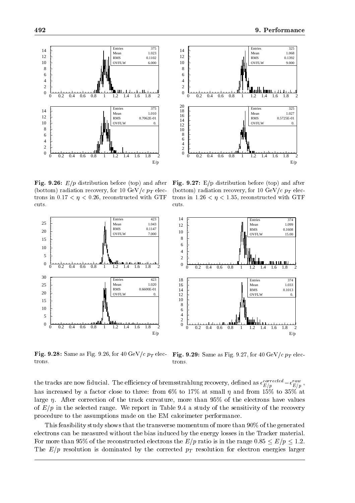



**Fig. 9.20:**  $E/p$  distribution before (top) and after **Fig.** (bottom) radiation recovery, for 10 GeV/c  $p_T$  electrons in  $0.17 < \eta < 0.26$ , reconstructed with GTF cuts.

 $F = F_{\rm eff}$ . 9.27: E/p distribution before (top) and a function before ( (bottom) radiation recovery, for 10 GeV/c  $p_T$  electrons in 1.26  $\lt \eta \lt 1.35$ , reconstructed with GTF cuts.



**Fig. 9.26:** Same as Fig. 9.20, for 40 GeV/c  $p_T$  elec- **Fig. 9.29:** Same as Fig. 9.27, for 40 GeV/c  $p_T$  electrons. trons.

the tracks are now nouclal. The emclency of bremsstrahlung recovery, denned as  $\epsilon_{E/p}^{-},\ldots,-\epsilon_{E/p}^{-}$  , , has increased by a factor close to three: from 6% to 17% at small  $\eta$  and from 15% to 35% at large  $\eta$ . After correction of the track curvature, more than 95% of the electrons have values of  $E/p$  in the selected range. We report in Table 9.4 a study of the sensitivity of the recovery procedure to the assumptions made on the EM calorimeter performance.

This feasibility study shows that the transverse momentum of more than 90% of the generated electrons can be measured without the bias induced by the energy losses in the Tracker material. For more than 95% of the reconstructed electrons the  $E/p$  ratio is in the range 0.85  $\leq E/p \leq 1.2$ . The  $p$  resolution is dominated by the correction  $p$  resolution for electron energies larger  $\rho$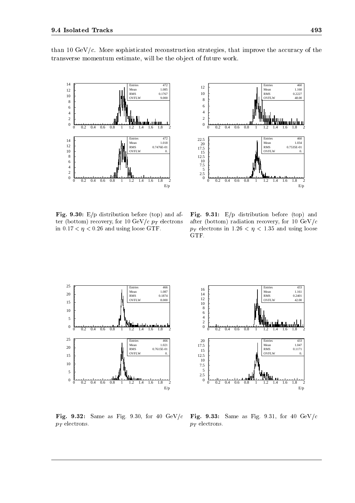

 $\mathbf{r}$  ig.  $\mathbf{s}$ .30: E/p distribution before (top) and after (bottom) recovery, for 10 GeV/c  $p_T$  electrons

in  $0.17 < \eta < 0.26$  and using loose GTF.

than 10 GeV/c. More sophisticated reconstruction strategies, that improve the accuracy of the transverse momentum estimate, will be the object of future work.

 $\tilde{0}$ 10<br>7.5<br>5<br>2.5

12.5 15 17.5 20 22.5



0 0.2 0.4 0.6 0.8 1 1.2 1.4 1.6 1.8 2

0 0.2 0.4 0.6 0.8 1 1.2 1.4 1.6 1.8 2

Entries Mean RMS OVFL!

Entrie Mean RMS OVFLW

YYYN

 460 1.160 0.2227 48.00

460 1.034 0.7535E-01 0.

E/p

25 Entrie 466 Mean 1.087 20 RMS 0.1874 **OVFLW**  8.000 15 10 5 0 0.2 0.4 0.6 0.8 1 1.2 1.4 1.6 1.8 2 0 andara <u>maha man</u> 25 Entries 466 Mean 1.021 20 RMS 0.7615E-01 OVFLW 0. 15 10 5  $\boldsymbol{0}$ 0 0.2 0.4 0.6 0.8 1 1.2 1.4 1.6 1.8 2 E/p

 $p_T$  electrons.

Fig. 9.32: Same as Fig. 9.30, for 40 GeV/c  $p_T$  electrons.

Fig. 9.33: Same as Fig. 9.31, for 40 GeV/c

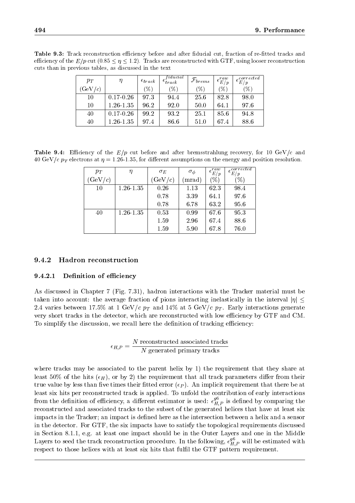| <b>Table 9.3:</b> Track reconstruction efficiency before and after fiducial cut, fraction of re-fitted tracks and        |
|--------------------------------------------------------------------------------------------------------------------------|
| efficiency of the $E/p$ cut $(0.85 \leq \eta \leq 1.2)$ . Tracks are reconstructed with GTF, using looser reconstruction |
| cuts than in previous tables, as discussed in the text                                                                   |

| $p_T$   |               | $\epsilon_{track}$ | fiducial<br>$\epsilon_{track}$ | $\mathcal{F}_{brems}$ | $\epsilon_{E/p}^{raw}$ | $\epsilon_{E/p}^{corrected}$ |  |
|---------|---------------|--------------------|--------------------------------|-----------------------|------------------------|------------------------------|--|
| (GeV/c) |               | (%)                | $(\%)$                         | (%)                   | $(\%)$                 | $\mathscr{C}_0$              |  |
| 10      | $0.17 - 0.26$ | 97.3               | 94.4                           | 25.6                  | 82.8                   | 98.0                         |  |
| 10      | $1.26 - 1.35$ | 96.2               | 92.0                           | 50.0                  | 64.1                   | 97.6                         |  |
| 40      | $0.17 - 0.26$ | 99.2               | 93.2                           | 25.1                  | 85.6                   | 94.8                         |  |
| 40      | $1.26 - 1.35$ | 97.4               | 86.6                           | 51.0                  | 67.4                   | 88.6                         |  |

Table 9.4: Eciency of the E=p cut before and after bremsstrahlung recovery, for 10 GeV/c and 40 GeV/c  $p_T$  electrons at  $\eta = 1.26$ -1.35, for different assumptions on the energy and position resolution.

| $p_T$              | η             | $\sigma_E$         | $\sigma_{\phi}$ | raw<br>$-\frac{\epsilon}{E/p}$ | corrected<br>$\epsilon_{E/p}$ |
|--------------------|---------------|--------------------|-----------------|--------------------------------|-------------------------------|
| $(\mathrm{GeV}/c)$ |               | $(\mathrm{GeV}/c)$ | $(\text{mrad})$ | $\mathcal{C}_{0}$              | $\%$                          |
| 10                 | $1.26 - 1.35$ | 0.26               | 1.13            | 62.3                           | 98.4                          |
|                    |               | 0.78               | 3.39            | 64.1                           | 97.6                          |
|                    |               | 0.78               | 6.78            | 63.2                           | 95.6                          |
| 40                 | $1.26 - 1.35$ | 0.53               | 0.99            | 67.6                           | 95.3                          |
|                    |               | 1.59               | 2.96            | 67.4                           | 88.6                          |
|                    |               | 1.59               | 5.90            | 67.8                           | 76.0                          |

### 9.4.2 Hadron reconstruction

### 9.4.2.1Definition of efficiency

As discussed in Chapter 7 (Fig. 7.31), hadron interactions with the Tracker material must be taken into account: the average fraction of pions interacting inelastically in the interval  $|\eta| \leq$ 2.4 varies between 17.5% at 1.5% at 1.5% at 1.5% at 1.5% at 5 GeV/c pT and 14% at 5 GeV/c pT . Early interactions generates generates generates generates generates generates generates generates generates generates generat very short tracks in the detector, which are reconstructed with low efficiency by GTF and CM. To simplify the discussion, we recall here the definition of tracking efficiency:

$$
\epsilon_{H,P} = \frac{N \text{ reconstructed associated tracks}}{N \text{ generated primary tracks}}
$$

where tracks may be associated to the parent helix by 1) the requirement that they share at least 50% of the hits ( $\epsilon_H$ ), or by 2) the requirement that all track parameters differ from their  $\lambda$  is that value by less than  $\lambda$  is the contribution than in planet that the atomic requirement that there be at the atomic requirement that the set of  $\lambda$ least six hits per reconstructed track is applied. To unfold the contribution of early interactions from the definition of efficiency, a different estimator is used:  $\epsilon_{\mu}^{35}$  p is defined  $H.P$  is defined by comparing the  $\sim$ reconstructed and associated tracks to the subset of the generated helices that have at least six impacts in the Tracker; an impact is defined here as the intersection between a helix and a sensor in the detector. For GTF, the six impacts have to satisfy the topological requirements discussed in Section 8.1.1, e.g. at least one impact should be in the Outer Layers and one in the Middle Layers to seed the track reconstruction procedure. In the following,  $\epsilon_{II,D}^T$  will  $H, P$  will be estimated with respect to those helices with at least six hits that fulfil the GTF pattern requirement.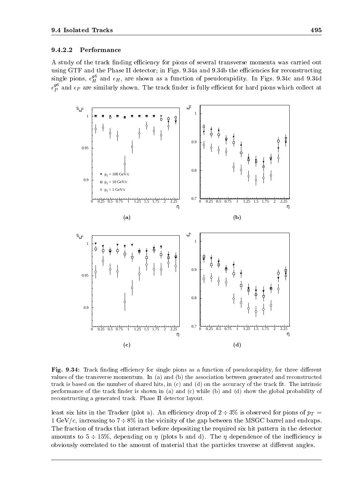#### 9.4.2.2Performance

A study of the track finding efficiency for pions of several transverse momenta was carried out using GTF and the Phase II detector; in Figs. 9.34a and 9.34b the efficiencies for reconstructing single pions,  $\epsilon_H^{\rm sp}$  and  $\epsilon_H$ , are shown as a function of pseudorapidity. In Figs. 9.34c and 9.34d  $\epsilon_{\scriptscriptstyle D}^{\scriptscriptstyle \rm F}$  and  $\epsilon$  $P$  and  $P$  are similarly shown. The track is fully equal pions which collect at  $\Gamma$ 



Fig. 9.34: Track nding eciency for single pions as a function of pseudorapidity, for three dierent values of the transverse momentum. In (a) and (b) the association between generated and reconstructed track is based on the number of shared hits, in  $(c)$  and  $(d)$  on the accuracy of the track fit. The intrinsic performance of the track finder is shown in (a) and (c) while (b) and (d) show the global probability of reconstructing a generated track. Phase II detector layout.

least six hits in the Tracker (plot a). An economic of  $\mathbb{P}^1$  is observed for pions of proposition of pT  $=$ 1 GeV/c, increasing to  $7\div 8\%$  in the vicinity of the gap between the MSGC barrel and endcaps. The fraction of tracks that interact before depositing the required six hit pattern in the detector amounts to  $5 \div 15\%$ , depending on  $\eta$  (plots b and d). The  $\eta$  dependence of the inefficiency is obviously correlated to the amount of material that the particles traverse at different angles.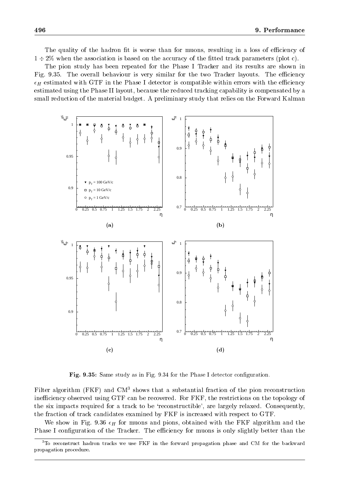The quality of the hadron fit is worse than for muons, resulting in a loss of efficiency of  $1 \div 2\%$  when the association is based on the accuracy of the fitted track parameters (plot c).

The pion study has been repeated for the Phase I Tracker and its results are shown in Fig. 9.35. The overall behaviour is very similar for the two Tracker layouts. The efficiency H estimated with GTF in the Phase I detector is compatible within errors with the eciency estimated using the Phase II layout, because the reduced tracking capability is compensated by a small reduction of the material budget. A preliminary study that relies on the Forward Kalman



Fig. 9.35: Same study as in Fig. 9.34 for the Phase I detector conguration.

Filter algorithm (FKF) and  $CM<sup>3</sup>$  shows that a substantial fraction of the pion reconstruction inefficiency observed using GTF can be recovered. For FKF, the restrictions on the topology of the six impacts required for a track to be `reconstructible', are largely relaxed. Consequently, the fraction of track candidates examined by FKF is increased with respect to GTF.

We show infinite the muons and pions, obtained with the fig. muons and pions, obtained with the FKF algorithm and  $\Omega$ Phase I configuration of the Tracker. The efficiency for muons is only slightly better than the

<sup>&</sup>lt;sup>3</sup>To reconstruct hadron tracks we use FKF in the forward propagation phase and CM for the backward propagation procedure.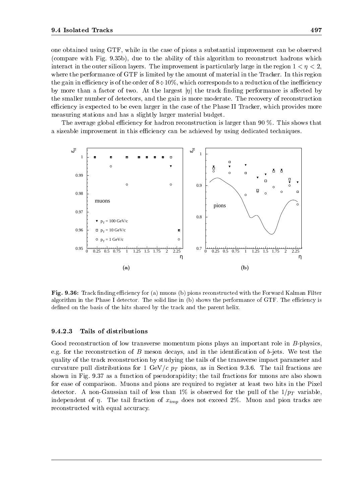one obtained using GTF, while in the case of pions a substantial improvement can be observed (compare with Fig.9.35b), due to the ability of this algorithm to reconstruct hadrons which interact in the outer silicon layers. The improvement is particularly large in the region  $1 < \eta < 2$ , where the performance of GTF is limited by the amount of material in the Tracker. In this region the gain in efficiency is of the order of  $8\div10\%$ , which corresponds to a reduction of the inefficiency by more than a factor of two. At the largest  $|\eta|$  the track finding performance is affected by the smaller number of detectors, and the gain is more moderate. The recovery of reconstruction efficiency is expected to be even larger in the case of the Phase II Tracker, which provides more measuring stations and has a slightly larger material budget.

The average global efficiency for hadron reconstruction is larger than  $90\%$ . This shows that a sizeable improvement in this efficiency can be achieved by using dedicated techniques.



Fig. 9.36: Track nding eciency for (a) muons (b) pions reconstructed with the Forward Kalman Filter algorithm in the Phase I detector. The solid line in (b) shows the performance of GTF. The efficiency is defined on the basis of the hits shared by the track and the parent helix.

#### 9.4.2.3Tails of distributions

Good reconstruction of low transverse momentum pions plays an important role in B-physics, e.g. for the reconstruction of  $B$  meson decays, and in the identification of  $b$ -jets. We test the quality of the track reconstruction by studying the tails of the transverse impact parameter and curvature pull distributions for 1 GeV/c pT pions, as in Section 9.3.6. The tail fractions are tailed as in Sections are tail fractions are tail fractions are tail fractions are tail fractions are tail fractions are tail f shown in Fig. 9.37 as a function of pseudorapidity; the tail fractions for muons are also shown for ease of comparison. Muons and pions are required to register at least two hits in the Pixel detection. A non-Gaussian tail of less thanks  $\mathcal{A}$  is observed for the pull  $\mathcal{B}$  variable,  $\mathcal{B}$  variable, independent of . The tail fraction of ximp does not exceed 2%.Muon and pion tracks are reconstructed with equal accuracy.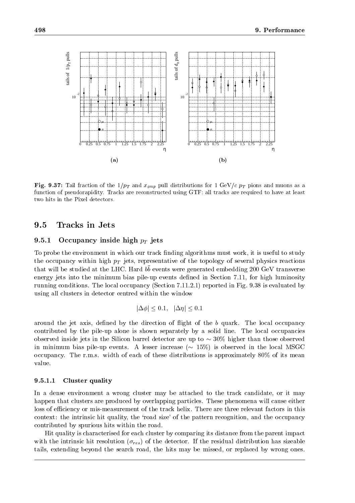

 $\mathbf{F}$   $\mathbf{F}$  and  $\mathbf{F}$  and  $\mathbf{F}$  and  $\mathbf{F}$  and  $\mathbf{F}$   $\mathbf{F}$  pull distributions and muons as a and muons as a and muons as a and muons as a set of  $\mathbf{F}$ function of pseudorapidity. Tracks are reconstructed using GTF; all tracks are required to have at least two hits in the Pixel detectors.

### 9.5Tracks in Jets

### 9.5.1 Occupancy inside the field part of the state of the state of the state of the state of the state of the s

To probe the environment in which our track finding algorithms must work, it is useful to study the occupancy within high pT jets, representative of the topology of the topology of several physics reactions reactions reactions reactions reactions reactions reactions reactions reactions reactions reactions reactions that will be studied at the LHC. Hard b b events were generated embedding 200 GeV transverse energy jets into the minimum bias pile-up events defined in Section 7.11, for high luminosity running conditions. The local occupancy (Section 7.11.2.1) reported in Fig. 9.38 is evaluated by using all clusters in detector centred within the window

$$
|\Delta \phi| \le 0.1, \quad |\Delta \eta| \le 0.1
$$

around the jet axis, defined by the direction of flight of the  $b$  quark. The local occupancy contributed by the pile-up alone is shown separately by a solid line. The local occupancies observed inside jets in the Silicon barrel detector are up to  $\sim$  30% higher than those observed in minimum bias pile-up events. A lesser increase  $({\sim 15\%)}$  is observed in the local MSGC occupancy. The r.m.s. width of each of these distributions is approximately 80% of its mean value.

#### 9.5.1.1Cluster quality

In a dense environment a wrong cluster may be attached to the track candidate, or it may happen that clusters are produced by overlapping particles. These phenomena will cause either loss of efficiency or mis-measurement of the track helix. There are three relevant factors in this context: the intrinsic hit quality, the 'road size' of the pattern recognition, and the occupancy contributed by spurious hits within the road.

Hit quality is characterised for each cluster by comparing its distance from the parent impact with the intrinsic hit resolution ( $\sigma_{res}$ ) of the detector. If the residual distribution has sizeable tails, extending beyond the search road, the hits may be missed, or replaced by wrong ones.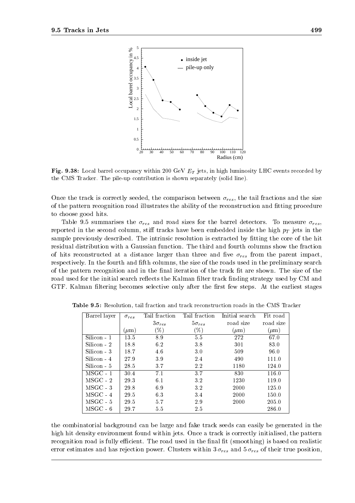

**Fig. 9.38:** Local barrel occupancy within 200 GeV  $E_T$  jets, in high luminosity LHC events recorded by the CMS Tracker. The pile-up contribution is shown separately (solid line).

Once the track is correctly seeded, the comparison between  $\sigma_{res}$ , the tail fractions and the size of the pattern recognition road illustrates the ability of the reconstruction and fitting procedure to choose good hits.

Table 9.5 summarises the result of the result of the result of the barrel detectors. To measure result of the barrel detectors. To measure result of the barrel detectors. To measure result of the barrel detectors. To meas reported in the second column in the second column in the second inside the first integral pT jets in the second sample previously described. The intrinsic resolution is extracted by fitting the core of the hit residual distribution with a Gaussian function. The third and fourth columns show the fraction  $\Omega$  and the parent in the parent in the parent in the parent in the parent in the parent in the parent in the parent in the parent in the parent in the parent in the parent in the parent in the parent in the parent in th respectively. In the fourth and fth columns, the size of the roads used in the preliminary search of the pattern recognition and in the final iteration of the track fit are shown. The size of the road used for the initial search reflects the Kalman filter track finding strategy used by CM and GTF. Kalman filtering becomes selective only after the first few steps. At the earliest stages

| Barrel layer | $\sigma_{res}$ | Tail fraction   | Tail fraction   | Initial search | Fit road  |
|--------------|----------------|-----------------|-----------------|----------------|-----------|
|              |                | $3\sigma_{res}$ | $5\sigma_{res}$ | road size      | road size |
|              | $(\mu m)$      | $(\%)$          | $(\%)$          | $(\mu m)$      | $(\mu m)$ |
| Silicon - 1  | 13.5           | 8.9             | 5.5             | 272            | 67.0      |
| $Silicon-2$  | 18.8           | 6.2             | 3.8             | 301            | 83.0      |
| Silicon - 3  | 18.7           | 4.6             | 3.0             | 509            | 96.0      |
| Silicon - 4  | 27.9           | 3.9             | 2.4             | 490            | 111.0     |
| Silicon - 5  | 28.5           | 3.7             | 2.2             | 1180           | 124.0     |
| $MSGC - 1$   | 30.4           | 7.1             | 3.7             | 830            | 116.0     |
| $MSGC - 2$   | 29.3           | 6.1             | 3.2             | 1230           | 119.0     |
| $MSGC - 3$   | 29.8           | 6.9             | 3.2             | 2000           | 125.0     |
| $MSGC - 4$   | 29.5           | 6.3             | 3.4             | 2000           | 150.0     |
| $MSGC - 5$   | 29.5           | 5.7             | 29              | 2000           | 205.0     |
| $MSGC - 6$   | 29.7           | 5.5             | 2.5             |                | 286.0     |

Table 9.5: Resolution, tail fraction and track reconstruction roads in the CMS Tracker

the combinatorial background can be large and fake track seeds can easily be generated in the high hit density environment found within jets. Once a track is correctly initialised, the pattern recognition road is fully efficient. The road used in the final fit (smoothing) is based on realistic error estimates and mathematic power. Power Clusters with and 3 respectively to 150 resort true position,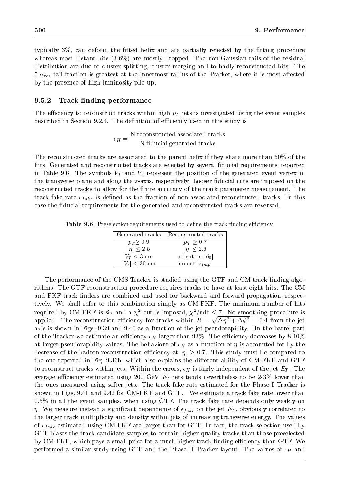typically  $3\%$ , can deform the fitted helix and are partially rejected by the fitting procedure whereas most distant hits (3-6%) are mostly dropped. The non-Gaussian tails of the residual distribution are due to cluster splitting, cluster merging and to badly reconstructed hits. The 5-res tail fraction is greatest at the innermost radius of the Tracker, where it is most aected by the presence of high luminosity pile-up.

### 9.5.2 Track finding performance

The economic to reconstruction tracks within  $\mathbb{P}$  jets is in the equipment samples of  $\mathbb{P}$ described in Section 9.2.4. The definition of efficiency used in this study is

$$
\epsilon_H = \frac{\text{N reconstructed associated tracks}}{\text{N fiducial generated tracks}}
$$

The reconstructed tracks are associated to the parent helix if they share more than 50% of the hits. Generated and reconstructed tracks are selected by several fiducial requirements, reported in Table 9.6. The symbols  $I$  and  $\mu$  represent the position of the generated event vertex in  $\mu$ the transverse plane and along the z-axis, respectively. Looser fiducial cuts are imposed on the reconstructed tracks to allow for the finite accuracy of the track parameter measurement. The  $\alpha$  rate rate  $\epsilon_{\text{H}}$  is defined as the fraction of non-associated reconstructed tracks. In this case the fiducial requirements for the generated and reconstructed tracks are reversed.

**Table 9.0:** Preselection requirements used to define the track imiding emclency.

|                            | Generated tracks Reconstructed tracks |
|----------------------------|---------------------------------------|
| $p_T \geq 0.9$             | $p_T \geq 0.7$                        |
| $ \eta  \leq 2.5$          | $ \eta  \leq 2.6$                     |
| $V_T \leq 3$ cm            | no cut on $ d_0 $                     |
| $ V_z  \leq 30 \text{ cm}$ | no cut $ z_{imp} $                    |

The performance of the CMS Tracker is studied using the GTF and CM track finding algorithms. The GTF reconstruction procedure requires tracks to have at least eight hits. The CM and FKF track finders are combined and used for backward and forward propagation, respectively. We shall refer to this combination simply as CM-FKF. The minimum number of hits required by CM-FKF is six and a  $\chi^2$  cut is imposed,  $\chi^2/\text{ndf} \leq \frac{7}{2}$ . No smoothing procedure is applied. The reconstruction efficiency for tracks within  $R = \sqrt{\Delta \eta^2 + \Delta \phi^2} = 0.4$  from the jet axis is shown in Figs. 9.39 and 9.40 as a function of the jet pseudorapidity. In the barrel part of the Trackers we estimate and economic H larger than 93%. The economic decreases by 8-10%. at larger pseudorapidity values. The behaviour of  $H$  as a function of  $\mu$  as a function of  $\mu$  the b decrease of the hadron reconstruction efficiency at  $|\eta| \geq 0.7$ . This study must be compared to the one reported in Fig. 9.36b, which also explains the different ability of CM-FKF and GTF to reconstruct tracks with independent tracks with the errors, H is fairly independent of the jet ET . The jet average economic extreme using  $200$  GeV  $\mu$  and  $2$  jets tends nevertheless to be 2-3% lower than  $200$ the ones measured using softer jets. The track fake rate estimated for the Phase I Tracker is shown in Figs. 9.41 and 9.42 for CM-FKF and GTF. We estimate a track fake rate lower than 0.5% in all the event samples, when using GTF. The track fake rate depends only weakly on  $\eta$ . We measure instead a significant dependence of  $\epsilon_{\text{H}}$  ( $\ell_{\text{R}}$  on the jet  $E_{\text{L}}$ ), obviously correlated to the larger track multiplicity and density within jets of increasing transverse energy. The values of  $\epsilon_{\parallel}$  ake estimated using CM-FIF are larger than for GTF. In fact, the track selection used by GTF biases the track candidate samples to contain higher quality tracks than those preselected by CM-FKF, which pays a small price for a much higher track finding efficiency than GTF. We performed a similar study using GTF and the Phase II Tracker lay full the values of  $\mu$  and  $\sim$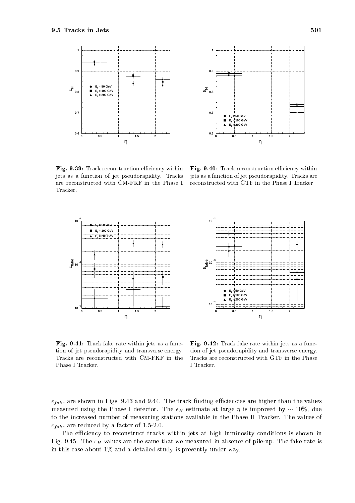



 $\mathbf{r}$  ig.  $\mathbf{y}$ . Track reconstruction emiclency within  $\mathbf{r}$  ig.  $\mathbf{y}$ jets as a function of jet pseudorapidity. Tracks are reconstructed with CM-FKF in the Phase I Tracker.

Fig. 9.40: Track reconstruction eciency within jets as a function of jet pseudorapidity. Tracks are reconstructed with GTF in the Phase I Tracker.



Fig. 9.41: Track fake rate within jets as a function of jet pseudorapidity and transverse energy. Tracks are reconstructed with CM-FKF in the Phase I Tracker.

Fig. 9.42: Track fake rate within jets as a function of jet pseudorapidity and transverse energy. Tracks are reconstructed with GTF in the Phase I Tracker.

 $\epsilon_{\text{HKE}}$  are shown in Figs. 9.15 and 9.11. The track nuding emergings are higher than the values measured using the Phase I detector. The H estimate at large  $\mu$  in improved by  $1000$  TeV at large to the increased number of measuring stations available in the Phase II Tracker. The values of  $\epsilon_{\text{HKE}}$  are reduced by a factor of 1.5-2.0.

The efficiency to reconstruct tracks within jets at high luminosity conditions is shown in Fig. 9.45. The H values are the same that we measured in absence of pile-up. The fake rate is in this case about 1% and a detailed study is presently under way.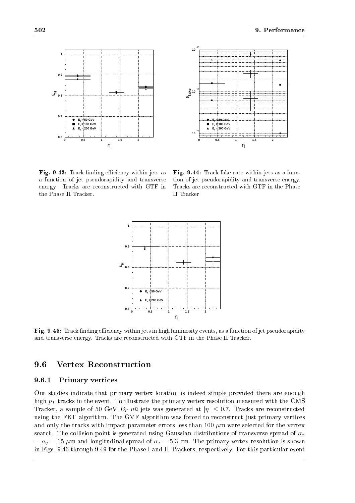



 $\mathbf{r}$  ig. 9.45: Track iniquity emcreticy within jets as  $\mathbf{r}$  ig a function of jet pseudorapidity and transverse energy. Tracks are reconstructed with GTF in the Phase II Tracker.

Fig. 9.44: Track fake rate within jets as a function of jet pseudorapidity and transverse energy. Tracks are reconstructed with GTF in the Phase II Tracker.



Fig. 9.45: Track nding eciency within jets in high luminosity events, as a function of jet pseudorapidity and transverse energy. Tracks are reconstructed with GTF in the Phase II Tracker.

### 9.6Vertex Reconstruction

# 9.6.1 Primary vertices

Our studies indicate that primary vertex location is indeed simple provided there are enough high pT tracks in the event. To illustrate the primary vertex resolution measured with the CMS Tracker, a sample of  $\sigma_0$  GeV  $\Xi_1$  au jets was generated at  $|\eta| \geq$  0.1. Tracks are reconstructed using the FKF algorithm. The GVF algorithm was forced to reconstruct just primary vertices and only the tracks with impact parameter errors less than 100  $\mu$ m were selected for the vertex search. The collision point is generated using Gaussian distributions of transverse spread of  $\sigma_x$  $\sim$  y  $\sim$  15 m and longitudinal spread of z  $\mu$   $\sim$  3.3 cm. The primary vertex resolution is shown in  $\sim$ in Figs. 9.46 through 9.49 for the Phase I and II Trackers, respectively. For this particular event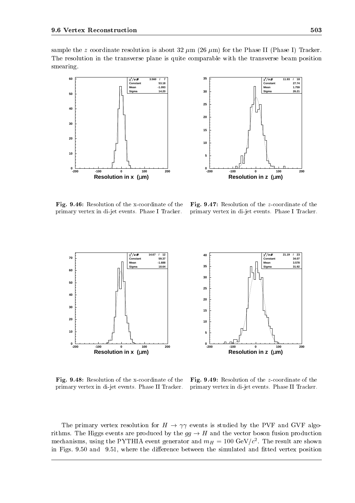sample the z coordinate resolution is about 32  $\mu$ m (26  $\mu$ m) for the Phase II (Phase I) Tracker. The resolution in the transverse plane is quite comparable with the transverse beam position smearing.





Fig. 9.46: Resolution of the x-coordinate of the primary vertex in di-jet events. Phase I Tracker.

Fig. 9.47: Resolution of the z-coordinate of the primary vertex in di-jet events. Phase I Tracker.

 **21.19 / 23 Constant 34.07 Mean 3.578 Sigma 31.92**



Fig. 9.48: Resolution of the x-coordinate of the primary vertex in di-jet events. Phase II Tracker.

Fig. 9.49: Resolution of the z-coordinate of the primary vertex in di-jet events. Phase II Tracker.

The primary vertex resolution for  $H \to \gamma\gamma$  events is studied by the PVF and GVF algorithms. The Higgs events are produced by the  $gg \to H$  and the vector boson fusion production mechanisms, using the PYTHIA event generator and  $m_H = 100 \ {\rm GeV}/c^2$ . The result are shown in Figs. 9.50 and 9.51, where the difference between the simulated and fitted vertex position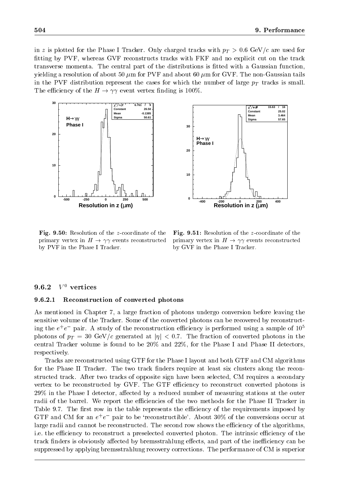in a protected for the Phase I Tracker. Only charged tracks with  $p$   $\rightarrow$  0.6 GeV/c are used for fitting by PVF, whereas GVF reconstructs tracks with FKF and no explicit cut on the track transverse momenta. The central part of the distributions is fitted with a Gaussian function, yielding a resolution of about 50  $\mu$ m for PVF and about 60  $\mu$ m for GVF. The non-Gaussian tails in the PVF distribution represent the cases for which the number of large pT tracks is small. The efficiency of the  $H \to \gamma\gamma$  event vertex finding is 100%.



Fig. 9.50: Resolution of the z-coordinate of the primary vertex in  $H \to \gamma\gamma$  events reconstructed by PVF in the Phase I Tracker.

Fig. 9.51: Resolution of the z-coordinate of the primary vertex in  $H \to \gamma\gamma$  events reconstructed by GVF in the Phase I Tracker.

# 9.6.2  $V^0$  vertices

#### 9.6.2.1Reconstruction of converted photons

As mentioned in Chapter 7, a large fraction of photons undergo conversion before leaving the sensitive volume of the Tracker. Some of the converted photons can be recovered by reconstructing the  $e^+e^-$  pair. A study of the reconstruction efficiency is performed using a sample of  $10^\circ$ photons of pT <sup>=</sup> <sup>30</sup> GeV/c generated atjj <sup>&</sup>lt; 0:7. The fraction of converted photons in the central Tracker volume is found to be  $20\%$  and  $22\%$ , for the Phase I and Phase II detectors, respectively.

Tracks are reconstructed using GTF for the Phase I layout and both GTF and CM algorithms for the Phase II Tracker. The two track finders require at least six clusters along the reconstructed track. After two tracks of opposite sign have been selected, CM requires a secondary vertex to be reconstructed by GVF. The GTF efficiency to reconstruct converted photons is 29% in the Phase I detector, affected by a reduced number of measuring stations at the outer radii of the barrel. We report the efficiencies of the two methods for the Phase II Tracker in Table 9.7. The first row in the table represents the efficiency of the requirements imposed by GTF and CM for an  $e^+e^-$  pair to be 'reconstructible'. About 30% of the conversions occur at large radii and cannot be reconstructed. The second row shows the efficiency of the algorithms, i.e. the efficiency to reconstruct a preselected converted photon. The intrinsic efficiency of the track finders is obviously affected by bremsstrahlung effects, and part of the inefficiency can be suppressed by applying bremsstrahlung recovery corrections. The performance of CM is superior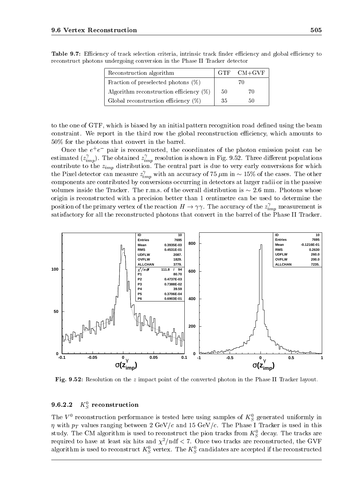| Reconstruction algorithm                   |    | $CM+GVF$ |
|--------------------------------------------|----|----------|
| Fraction of preselected photons $(\%)$     |    |          |
| Algorithm reconstruction efficiency $(\%)$ | 50 | 70       |
| Global reconstruction efficiency $(\%)$    | 35 | 50       |

Table 9.7: Eciency of track selection criteria, intrinsic track nder eciency and global eciency to reconstruct photons undergoing conversion in the Phase II Tracker detector

to the one of GTF, which is biased by an initial pattern recognition road dened using the beam constraint. We report in the third row the global reconstruction efficiency, which amounts to 50% for the photons that convert in the barrel.

Once the  $e^+e^-$  pair is reconstructed, the coordinates of the photon emission point can be estimated ( $z_{imp}^{\prime}$ ). The obtained  $z_{imp}^{\prime}$  reso imp shown in Fig. 9.52. The shown in Fig. 9.52. Three diepsity is shown in Fig. 1.52. Three diepsity is  $\Gamma$  if  $\Gamma$ contribute to the zimp distribution. The central part is due to very early conversions for which which is due to very early conversions for which which is due to very early conversions for which which we are the central pa the Pixel detector can measure  $z_{i_{\rm max}}'$  with  $\frac{1}{2}$  m in  $\frac{1}{2}$  m in  $\frac{1}{2}$  and  $\frac{1}{2}$  in  $\frac{1}{2}$  in  $\frac{1}{2}$  . The other cases. The other cases components are contributed by conversions occurring in detectors at larger radii or in the passive volumes inside the Tracker. The r.m.s. of the overall distribution is  $\sim 2.6$  mm. Photons whose origin is reconstructed with a precision better than 1 centimetre can be used to determine the position of the primary vertex of the reaction  $H\to\gamma\gamma$ . The accuracy of the  $z_{imn}^*$  measurement is  $\cdots$ satisfactory for all the reconstructed photons that convert in the barrel of the Phase II Tracker.



Fig. 9.52: Resolution on the <sup>z</sup> impact point of the converted photon in the Phase II Tracker layout.

### 9.6.2.2 $R_{\,S}$  reconstruction

The V reconstruction performance is tested here using samples of  $K_S$  generated uniformly in with pT values ranging between 2 GeV/c and 15 GeV/c. The Phase I Tracker is used in this used in this used in this used in this used in this used in this used in this used in this used in this used in this used in this us study. The CM algorithm is used to reconstruct the pion tracks from  $K_{\tilde{S}}$  decay. The tracks are required to have at least six hits and  $\chi^2/\text{ndf} < 7$ . Once two tracks are reconstructed, the GVF algorithm is used to reconstruct  $\kappa_{\tilde{S}}$  vertex. The  $\kappa_{\tilde{S}}$  candidates are accepted if the reconstructed

 $-$ 

 $-$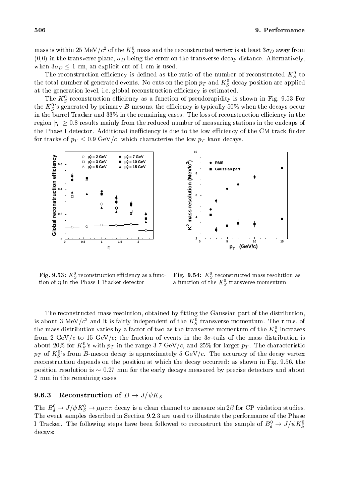mass is within 25 MeV/c $^*$  of the  $\kappa_S^+$  mass and the reconstructed vertex is at least 3 $\sigma_D$  away from (0,0) in the transverse plane,  $D$  being the error on the transverse decay distance. Alternatively,  $\eta$ when  $\alpha$  is a compared to provide the set of  $\alpha$  and  $\alpha$  is used.

The reconstruction enteriency is defined as the ratio of the number of reconstructed  $K_S$  to the total number of generated events. To cuts on the pion  $p_T$  and  $\kappa_S$  decay position are applied at the generation level, i.e. global reconstruction efficiency is estimated.

The  $K_{\tilde{S}}$  reconstruction emclency as a function of pseudorapidity is shown in Fig. 9.53 For the  $K_S^0$ 's generated by primary B-mesons, the efficiency is typically 50% when the decays occur in the barrel Tracker and  $33\%$  in the remaining cases. The loss of reconstruction efficiency in the region  $|\eta| > 0.8$  results mainly from the reduced number of measuring stations in the endcaps of the Phase I detector. Additional inefficiency is due to the low efficiency of the CM track finder for tracks of pT 0.9 GeV/c, which characterise the low pT kaon decays.



**r ig. 9.33:**  $\mathbf{A}_{\tilde{S}}$  reconstruction eniciency as a function of  $\eta$  in the Phase I Tracker detector.

**Fig. 9.54:**  $K_{\tilde{S}}$  reconstructed mass resolution as a function of the  $\kappa_S$  transverse momentum.

The reconstructed mass resolution, obtained by fitting the Gaussian part of the distribution, is about 3 MeV/c and it is fairly independent of the  $\kappa_{\scriptstyle S}$  transverse momentum. The r.m.s. of the mass distribution varies by a factor of two as the transverse momentum of the  $\kappa_S$  increases from 2 GeV/c to 15 GeV/c; the fraction of events in the 3-tails of the mass distribution is about 20% for  $K_S^0$ 's with  $p_T$  in the range 3-7 GeV/c, and 25% for larger  $p_T$ . The characteristic  $p_T$  of  $K_S^{\upsilon}$ 's from B-meson decay is approximately 5 GeV/c. The accuracy of the decay vertex reconstruction depends on the position at which the decay occurred: as shown in Fig. 9.56, the position resolution is  $\sim 0.27$  mm for the early decays measured by precise detectors and about 2 mm in the remaining cases.

# **9.6.3** Reconstruction of  $B \to J/\psi K_S$

The  $D_{\tilde{d}} \to J/\psi \Lambda_{\tilde{S}} \to \mu \mu \pi \pi$  decay is a clean channel to measure sin  $2\rho$  for CP violation studies. The event samples described in Section 9.2.3 are used to illustrate the performance of the Phase I fracker. The following steps have been followed to reconstruct the sample of  $B_d^+ \to J/\psi K_S^$ decays: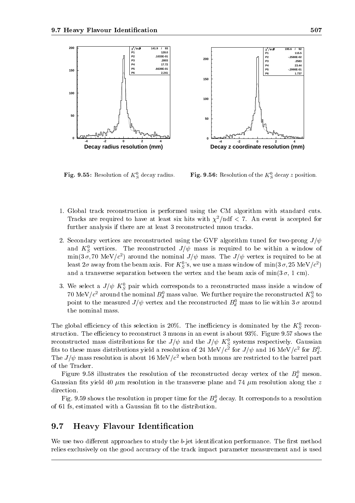

**Fig. 9.55:** Resolution of  $K_{\sigma}$  decay

 $\tilde{S}$  decay radius. Fig. 9.50: Resolution of the  $K_{\tilde{S}}$  decay z position.

- 1. Global track reconstruction is performed using the CM algorithm with standard cuts. Tracks are required to have at least six hits with  $\chi^2/\text{ndf} < 7$ . An event is accepted for further analysis if there are at least 3 reconstructed muon tracks.
- 2. Secondary vertices are reconstructed using the GVF algorithm tuned for two-prong  $J/\psi$ and  $K_{\tilde{S}}$  vertices. The reconstructed  $J/\psi$  mass is required to be within a window of  $\min(\mathfrak{z}|\sigma, t)$  wiev/c ) around the nominal  $J/\psi$  mass. The  $J/\psi$  vertex is required to be at least  $2\sigma$  away from the beam axis. For  $K^0_S$ 's, we use a mass window of  $\,\mathrm{min}(3\,\sigma,25\;\mathrm{MeV}/c^2)$ and a transverse separation between the vertex and the beam axis of  $\min(3\sigma, 1\text{ cm})$ .
- 3. We select a  $J/\psi \propto_S$  pair which corresponds to a reconstructed mass inside a window of  $\cdot$   $-$ TO MeV/c - around the nominal  $D_d$  mass value. We further require the reconstructed  $K_S$  to point to the measured  $J/\psi$  vertex and the reconstructed  $B^0_d$  mass to lie within  $3\,\sigma$  around the nominal mass.

The global emiclency of this selection is 20%. The inemiciency is dominated by the  $K_{\tilde{S}}$  recon- $\overline{\phantom{0}}$ struction. The efficiency to reconstruct 3 muons in an event is about  $93\%$ . Figure  $9.57$  shows the reconstructed mass distributions for the  $J/\psi$  and the  $J/\psi$   $\mathbf{A}_{S}$  systems respectively. Gaussian He to these mass distributions yield a resolution of 24 MeV/c for  $J/\psi$  and 10 MeV/c for  $D_{J}$ .  $\overline{\phantom{a}}$ The  $J/\psi$  mass resolution is about 10 MeV/c when both muons are restricted to the barrel part of the Tracker.

Figure 9.58 inustrates the resolution of the reconstructed decay vertex of the  $D_d^+$  meson. Gaussian fits yield 40  $\mu$ m resolution in the transverse plane and 74  $\mu$ m resolution along the z direction.

 $_{\rm r}$  ig. 9.59 shows the resolution in proper time for the  $D_d$  decay. It corresponds to a resolution of 61 fs, estimated with a Gaussian fit to the distribution.

### 9.7Heavy Flavour Identification

We use two different approaches to study the  $b$ -jet identification performance. The first method relies exclusively on the good accuracy of the track impact parameter measurement and is used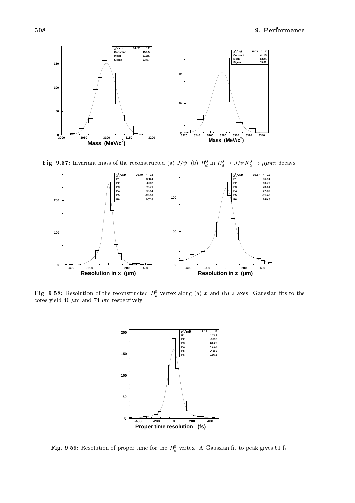

**Fig. 9.57:** Invariant mass of the reconstructed (a)  $J/\psi$ , (b)  $D_d$  in  $D_d \to J/\psi K_S \to \mu \mu \pi \pi$  decays.



**Fig. 9.58:** Resolution of the reconstructed  $D_d$  vertex along (a) x and (b) z axes. Gaussian hts to the cores yield 40  $\mu \mathrm{m}$  and 74  $\mu \mathrm{m}$  respectively.



**Fig. 9.59:** Resolution of proper time for the  $D_d$  vertex. A Gaussian it to peak gives 61 fs.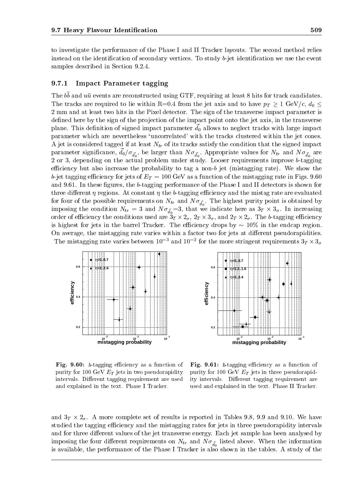to investigate the performance of the Phase I and II Tracker layouts. The second method relies instead on the identification of secondary vertices. To study b-jet identification we use the event samples described in Section 9.2.4.

# 9.7.1 Impact Parameter tagging

The  $\omega$  and  $\overline{u}u$  events are reconstructed using  $GIT$ , requiring at least  $\sigma$  mus for track candidates. The tracks are required to lie within R=0.4 from the jet and the state  $\tau$  from  $\mu$   $\mu$   $\mu$   $\mu$   $\tau$  and  $\mu$ 2 mm and at least two hits in the Pixel detector. The sign of the transverse impact parameter is defined here by the sign of the projection of the impact point onto the jet axis, in the transverse plane. This definition of signed impact parameter  $d_0$  allows to neglect tracks with large impact parameter which are nevertheless 'uncorrelated' with the tracks clustered within the jet cones. A jet is considered tagged if at least Ntr of its tracks satisfy the condition that the signed impact parameter significance,  $a_0/\overline{a}_0^T$ , be larger than N  $\overline{d}_0^T$ . Appropriate values for N<sub>tr</sub> and N  $\overline{d}_0^T$  are 2 or 3, depending on the actual problem under study. Looser requirements improve b-tagging efficiency but also increase the probability to tag a non-b jet (mistagging rate). We show the between  $\alpha$  for the jets of  $\alpha$  and  $\alpha$  for the mistage value in  $\alpha$  function of the mistage value in  $\alpha$ and 9.61. In these figures, the b-tagging performance of the Phase I and II detectors is shown for three different  $\eta$  regions. At constant  $\eta$  the b-tagging efficiency and the mistag rate are evaluated  $\mathbf{r}$  four of the point is operation on  $d_0$  and  $\mathbf{r}$  point is obtained by an isomorphism is obtained by an interval by an interval by an interval by an interval by an interval by an interval by an interval by an imposing the condition Ntr <sup>=</sup> <sup>3</sup> and N ~d0=3, that we indicate here as 3T - 3 . In increasing order of economic the conditions used are 3T - LD  $\mid$  -tagging economic economic economic  $J$  . The b-tagging economic  $J$ is highest for jets in the barrel Tracker. The efficiency drops by  $\sim 10\%$  in the endcap region. On average, the mistagging rate varies within a factor two for jets at different pseudorapidities. The mistagging rate varies between 10  $\degree$  and 10  $\degree$  for the more stringent requirements  $3_T \times 3_\sigma$ 





Fig. 9.60: b-tagging eciency as a function of purity for 100 GeV  $E_T$  jets in two pseudorapidity intervals. Different tagging requirement are used and explained in the text. Phase I Tracker.

Fig. 9.61: b-tagging eciency as a function of purity for 100 GeV  $E_T$  jets in three pseudorapidity intervals. Different tagging requirement are used and explained in the text. Phase II Tracker.

and 3T - A more complete set of reported in Tables 1.8, 9.9 and 9.9, 9.9 and 9.9, 9.9 and 9.10.9 and 9.8 and 9 studied the tagging efficiency and the mistagging rates for jets in three pseudorapidity intervals and for three different values of the jet transverse energy. Each jet sample has been analysed by imposing the four dimensions on  $\mathbf{1}_{\text{max}}$  and  $\mathbf{1}_{\text{max}}$  and  $\mathbf{1}_{\text{max}}$  and  $\mathbf{1}_{\text{max}}$  and  $\mathbf{1}_{\text{max}}$  and  $\mathbf{1}_{\text{max}}$ is available, the performance of the Phase I Tracker is also shown in the tables. A study of the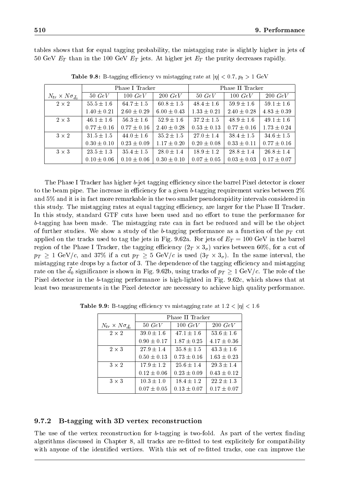tables shows that for equal tagging probability, the mistagging rate is slightly higher in jets of 50 GeV ft  $\pm$  in the 100 GeV Et al. At higher in the purity decreases rapidly. At higher  $\mu$ 

|                                      | Phase I Tracker |                 |                 | Phase II Tracker |                 |                 |  |
|--------------------------------------|-----------------|-----------------|-----------------|------------------|-----------------|-----------------|--|
| $N_{tr} \times N \sigma_{\bar{d}_0}$ | $50\ GeV$       | $100\ GeV$      | $200\ GeV$      | $50\ GeV$        | 100~GeV         | $200\ GeV$      |  |
| $2 \times 2$                         | $55.5 \pm 1.6$  | $64.7 \pm 1.5$  | $60.8 \pm 1.5$  | $48.4 \pm 1.6$   | $59.9 \pm 1.6$  | $59.1 \pm 1.6$  |  |
|                                      | $1.40 \pm 0.21$ | $2.60 \pm 0.29$ | $6.00 \pm 0.43$ | $1.33 \pm 0.21$  | $2.40 \pm 0.28$ | $4.83 \pm 0.39$ |  |
| $2 \times 3$                         | $46.1 \pm 1.6$  | $56.3 \pm 1.6$  | $52.9 \pm 1.6$  | $37.2 \pm 1.5$   | $48.9 \pm 1.6$  | $49.1 \pm 1.6$  |  |
|                                      | $0.77 \pm 0.16$ | $0.77 \pm 0.16$ | $2.40 \pm 0.28$ | $0.53 \pm 0.13$  | $0.77 \pm 0.16$ | $1.73 \pm 0.24$ |  |
| $3 \times 2$                         | $31.5 \pm 1.5$  | $44.0 \pm 1.6$  | $35.2 \pm 1.5$  | $27.0 \pm 1.4$   | $38.4 \pm 1.5$  | $34.6 \pm 1.5$  |  |
|                                      | $0.30 \pm 0.10$ | $0.23 \pm 0.09$ | $1.17 \pm 0.20$ | $0.20 \pm 0.08$  | $0.33 \pm 0.11$ | $0.77 \pm 0.16$ |  |
| $3 \times 3$                         | $23.5 \pm 1.3$  | $35.4 \pm 1.5$  | $28.0 \pm 1.4$  | $18.9 \pm 1.2$   | $28.8 \pm 1.4$  | $26.8 \pm 1.4$  |  |
|                                      | $0.10 \pm 0.06$ | $0.10 \pm 0.06$ | $0.30 \pm 0.10$ | $0.07 \pm 0.05$  | $0.03 \pm 0.03$ | $0.17 \pm 0.07$ |  |

**Table 9.8:** B-tagging emotency vs mistagging rate at  $|\eta| \leq 0.7$ ,  $p_t > 1$  GeV

The Phase I Tracker has higher *b*-jet tagging efficiency since the barrel Pixel detector is closer to the beam pipe. The increase in efficiency for a given b-tagging requirement varies between  $2\%$ and 5% and it is in fact more remarkable in the two smaller pseudorapidity intervals considered in this study. The mistagging rates at equal tagging efficiency, are larger for the Phase II Tracker. In this study, standard GTF cuts have been used and no effort to tune the performance for  $b$ -tagging has been made. The mistagging rate can in fact be reduced and will be the object of further studies. We show a studies the b-tagging performance as a function of the pT cuttion of the pT cut applied to tag the tracks used to tag the jets in Fig. 9.62. For jets of ET  $=$  100 GeV in the barrel barrel barrel barrel barrel barrel barrel barrel barrel barrel barrel barrel barrel barrel barrel barrel barrel barrel region of the Phase I Tracker, the tagging ecoes in the tagging ecoes  $\alpha$  of  $\alpha$  $p$  is given pure same interval, and  $p$  is used (since  $\{s_1, \ldots, s_U\}$  , the same interval, the same interval, the same interval, the same interval, the same interval, the same interval, the same interval, the same inte mistagging rate drops by a factor of 3. The dependence of the tagging efficiency and mistagging rate on the  $d_0$  significance is shown in Fig. 9.62b, using tracks of  $p_T \geq 1 \text{ GeV}/c$ . The role of the Pixel detector in the b-tagging performance is high-lighted in Fig. 9.62c, which shows that at least two measurements in the Pixel detector are necessary to achieve high quality performance.

|                                      | Phase II Tracker |                 |                 |  |  |  |  |  |
|--------------------------------------|------------------|-----------------|-----------------|--|--|--|--|--|
| $N_{tr} \times N \sigma_{\bar{d}_0}$ | $50\ GeV$        | 100~GeV         | $200\ GeV$      |  |  |  |  |  |
| $2 \times 2$                         | $39.0 \pm 1.6$   | $47.1 \pm 1.6$  | $53.6 \pm 1.6$  |  |  |  |  |  |
|                                      | $0.90 \pm 0.17$  | $1.87 \pm 0.25$ | $4.17 \pm 0.36$ |  |  |  |  |  |
| $2 \times 3$                         | $27.9 \pm 1.4$   | $35.8 \pm 1.5$  | $43.3 \pm 1.6$  |  |  |  |  |  |
|                                      | $0.50 \pm 0.13$  | $0.73 \pm 0.16$ | $1.63 \pm 0.23$ |  |  |  |  |  |
| $3 \times 2$                         | $17.9 \pm 1.2$   | $25.6 \pm 1.4$  | $29.3 \pm 1.4$  |  |  |  |  |  |
|                                      | $0.12 \pm 0.06$  | $0.23 \pm 0.09$ | $0.43 \pm 0.12$ |  |  |  |  |  |
| $3 \times 3$                         | $10.3 \pm 1.0$   | $18.4 \pm 1.2$  | $22.2 \pm 1.3$  |  |  |  |  |  |
|                                      | $0.07 \pm 0.05$  | $0.13 \pm 0.07$ | $0.17 \pm 0.07$ |  |  |  |  |  |

**Table 9.9:** B-tagging emiciency vs mistagging rate at  $1.2 \leq |\eta| \leq 1.6$ 

# 9.7.2 B-tagging with 3D vertex reconstruction

The use of the vertex reconstruction for  $b$ -tagging is two-fold. As part of the vertex finding algorithms discussed in Chapter 8, all tracks are re-fitted to test explicitely for compatibility with anyone of the identified vertices. With this set of re-fitted tracks, one can improve the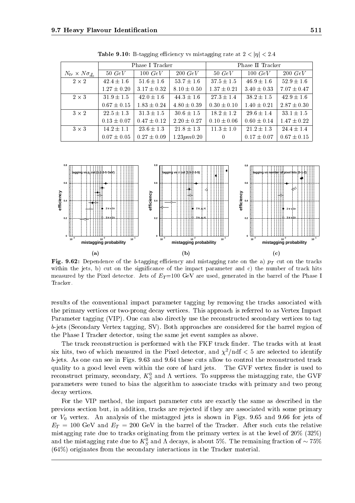|                                      |                 | Phase I Tracker |                 | Phase II Tracker |                 |                 |  |
|--------------------------------------|-----------------|-----------------|-----------------|------------------|-----------------|-----------------|--|
| $N_{tr} \times N \sigma_{\bar{d}_0}$ | $50\ GeV$       | $100\ GeV$      | $200\ GeV$      | $50\ GeV$        | 100~GeV         | $200\ GeV$      |  |
| $2 \times 2$                         | $42.4 \pm 1.6$  | $51.6 \pm 1.6$  | $53.7 \pm 1.6$  | $37.5 \pm 1.5$   | $46.9 \pm 1.6$  | $52.9 \pm 1.6$  |  |
|                                      | $1.27 \pm 0.20$ | $3.17 \pm 0.32$ | $8.10 \pm 0.50$ | $1.37 \pm 0.21$  | $3.40 \pm 0.33$ | $7.07 \pm 0.47$ |  |
| $2 \times 3$                         | $31.9 \pm 1.5$  | $42.0 \pm 1.6$  | $44.3 \pm 1.6$  | $27.3 \pm 1.4$   | $38.2 \pm 1.5$  | $42.9 \pm 1.6$  |  |
|                                      | $0.67 \pm 0.15$ | $1.83 \pm 0.24$ | $4.80 \pm 0.39$ | $0.30 \pm 0.10$  | $1.40 \pm 0.21$ | $2.87 \pm 0.30$ |  |
| $3 \times 2$                         | $22.5 \pm 1.3$  | $31.3 \pm 1.5$  | $30.6 \pm 1.5$  | $18.2 \pm 1.2$   | $29.6 \pm 1.4$  | $33.1 \pm 1.5$  |  |
|                                      | $0.13 \pm 0.07$ | $0.47 \pm 0.12$ | $2.20 \pm 0.27$ | $0.10 \pm 0.06$  | $0.60 \pm 0.14$ | $1.47 \pm 0.22$ |  |
| $3 \times 3$                         | $14.2 \pm 1.1$  | $23.6 \pm 1.3$  | $21.8 \pm 1.3$  | $11.3 \pm 1.0$   | $21.2 \pm 1.3$  | $24.4 \pm 1.4$  |  |
|                                      | $0.07 \pm 0.05$ | $0.27 \pm 0.09$ | 1.23pm0.20      | $\overline{0}$   | $0.17 \pm 0.07$ | $0.67 \pm 0.15$ |  |

**Table 9.10:** B-tagging emerging vs mistagging rate at  $2 \leq |\eta| \leq 2.4$ 



Fig. 9.62: Dependence of the b-tagging eciency and mistagging rate on the a) pT cut on the tracks within the jets, b) cut on the significance of the impact parameter and c) the number of track hits measured by the Pixel detector. Jets of  $E_T = 100 \text{ GeV}$  are used, generated in the barrel of the Phase I Tracker.

results of the conventional impact parameter tagging by removing the tracks associated with the primary vertices or two-prong decay vertices. This approach is referred to as Vertex Impact Parameter tagging (VIP). One can also directly use the reconstructed secondary vertices to tag b-jets (Secondary Vertex tagging, SV). Both approaches are considered for the barrel region of the Phase I Tracker detector, using the same jet event samples as above.

The track reconstruction is performed with the FKF track finder. The tracks with at least six hits, two of which measured in the Pixel detector, and  $\chi^2/\text{ndf} < 5$  are selected to identify b-jets. As one can see in Figs. 9.63 and 9.64 these cuts allow to control the reconstructed track quality to a good level even within the core of hard jets. The GVF vertex finder is used to reconstruct primary, secondary,  $K_S$  and  $\Lambda$  vertices. To suppress the mistagging rate, the GVF parameters were tuned to bias the algorithm to associate tracks with primary and two prong decay vertices.

For the VIP method, the impact parameter cuts are exactly the same as described in the previous section but, in addition, tracks are rejected if they are associated with some primary or  $V_0$  vertex. An analysis of the mistagged jets is shown in Figs. 9.65 and 9.66 for jets of ET <sup>=</sup> <sup>100</sup> GeV and ET <sup>=</sup> <sup>200</sup> GeV in the barrel of the Tracker. After such cuts the relative mistagging rate due to tracks originating from the primary vertex is at the level of 20% (32%) and the mistagging rate due to  $\mathbf{A}_{S}^{\perp}$  and A decays, is about 5%. The remaining fraction of  $\sim$  75% (64%) originates from the secondary interactions in the Tracker material.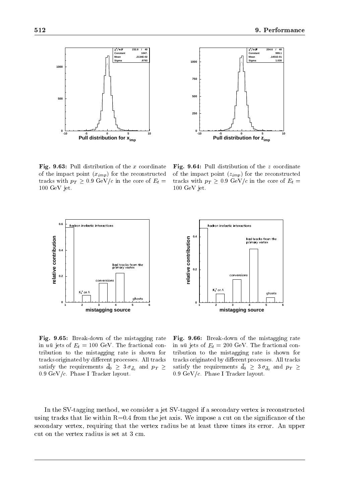

 $F_{\rm eff}$ , 9.63, Pull distribution of the x coordinate  $F_{\rm eff}$ . of the impact point  $(x_{imp})$  for the reconstructed tracks with  $p_T \geq 0.9$  GeV/c in the core of  $E_t =$  $100~{\rm GeV}$  jet.



 $F_{\rm eff}$ , 9.64: Pull distribution of the  $\pi$  coordinates of the impact point  $(z_{imp})$  for the reconstructed tracks with  $p_T \geq 0.9 \text{ GeV}/c$  in the core of  $E_t =$ 100 GeV jet.



**0.4** relative contribution  **relative contribution** d tracks from **0.2 0 123456 mistagging source**

 $\mathbf{F}$  . 9.65: Break-down of the mistage rate of the mistage rate of the mistage rate of the mistage rate of the mistage rate of the mistage rate of the mistage rate of the mistage rate of the mistage rate of the mistag in  $u\bar{u}$  jets of  $E_t = 100$  GeV. The fractional contribution to the mistagging rate is shown for tracks originated by different processes. All tracks satisfy the requirements  $u_0 \geq 3 \nu_{d_0}$  and  $p_T \geq 3$  satisfy the  $0.9 \text{ GeV}/c$ . Phase I Tracker layout.

 $\mathbf{F}$  . 9.66: Break-down of the mistage rate mistage rates of the mistage rates of the mistage rates of the mistage rates of the mistage rates of the mistage rates of the mistage rates of the mistage rates of the mista in  $u\bar{u}$  jets of  $E_t = 200 \text{ GeV}$ . The fractional contribution to the mistagging rate is shown for tracks originated by different processes. All tracks satisfy the requirements  $u_0 \geq 3 \nu_{d_0}$  and  $p_T \geq 1$  $0.9 \text{ GeV}/c$ . Phase I Tracker layout.

In the SV-tagging method, we consider a jet SV-tagged if a secondary vertex is reconstructed using tracks that lie within  $R=0.4$  from the jet axis. We impose a cut on the significance of the secondary vertex, requiring that the vertex radius be at least three times its error. An upper cut on the vertex radius is set at 3 cm.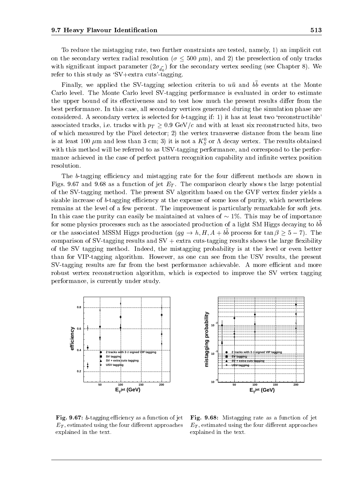To reduce the mistagging rate, two further constraints are tested, namely, 1) an implicit cut on the secondary vertex radial resolution ( $\sigma \leq 500 \ \mu \text{m}$ ), and 2) the preselection of only tracks  $\mathcal{O}$  in the secondary vertex secondary vertex secondary vertex secondary vertex secondary. refer to this study as 'SV+extra cuts'-tagging.

Finally, we applied the SV-tagging selection criteria to uu and b b events at the Monte Carlo level. The Monte Carlo level SV-tagging performance is evaluated in order to estimate the upper bound of its effectiveness and to test how much the present results differ from the best performance. In this case, all secondary vertices generated during the simulation phase are considered. A secondary vertex is selected for  $b$ -tagging if: 1) it has at least two 'reconstructible' associated tracks, i.e. tracks, with pT  $_{\odot}$  o.9 GeV/c and with at least six reconstructed hitle, two constructions of  $\sim$ of which measured by the Pixel detector; 2) the vertex transverse distance from the beam line is at least 100  $\mu$ m and less than 5 cm; 5) it is not a  $\Lambda_{\tilde{S}}$  or  $\Lambda$  decay vertex. The results obtained with this method will be referred to as USV-tagging performance, and correspond to the performance achieved in the case of perfect pattern recognition capability and infinite vertex position resolution.

The b-tagging efficiency and mistagging rate for the four different methods are shown in Figure 9.67 and 9.687 and 9.68 as a function of  $\mathbb{R}^n$  . The comparison clearly shows the large potential potential potential potential potential potential potential potential potential potential potential potential p of the SV-tagging method. The present SV algorithm based on the GVF vertex nder yields a sizable increase of b-tagging efficiency at the expense of some loss of purity, which nevertheless remains at the level of a few percent. The improvement is particularly remarkable for soft jets. In this case the purity can easily be maintained at values of  $\sim 1\%$ . This may be of importance for some physics processes such as the associated production of a light SM Higgs decaying to b b or the associated modivi-Higgs production  $(qq \rightarrow u, H, A \pm \omega)$  process for tan  $\rho > \sigma = H$ . The comparison of SV-tagging results and  $SV + extra$  cuts-tagging results shows the large flexibility of the SV tagging method. Indeed, the mistagging probability is at the level or even better than for VIP-tagging algorithm. However, as one can see from the USV results, the present SV-tagging results are far from the best performance achievable. A more efficient and more robust vertex reconstruction algorithm, which is expected to improve the SV vertex tagging performance, is currently under study.





 $\mathbf{r}$  ig.  $\mathbf{v}$ .  $\mathbf{v}$  -tagging emiclency as a function of jet  $\mathbf{r}$  ig  $E_T$ , estimated using the four different approaches explained in the text.

 $\blacksquare$  .  $\blacksquare$  . Misture as  $\blacksquare$  . The assumed the function of  $\blacksquare$  . The set of  $\blacksquare$  $E_T$ , estimated using the four different approaches explained in the text.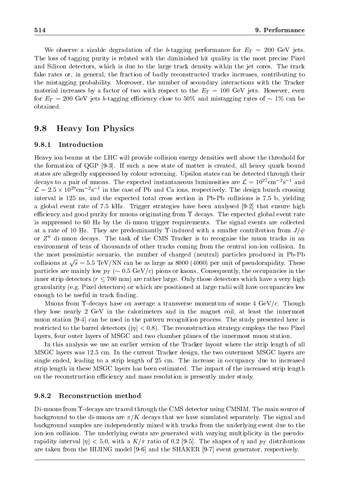We observe a sizable degradation of the b-tagging performance for ET <sup>=</sup> <sup>200</sup> GeV jets. The loss of tagging purity is related with the diminished hit quality in the most precise Pixel and Silicon detectors, which is due to the large track density within the jet cores. The track fake rates or, in general, the fraction of badly reconstructed tracks increases, contributing to the mistagging probability. Moreover, the number of secondary interactions with the Tracker material increases by a factor of two with respect to the ET <sup>=</sup> <sup>100</sup> GeV jets. However, even for ET and  $\alpha$  and  $\alpha$  is b-tagging ecoes to  $\alpha$  and  $\alpha$  is an original become to  $1$  can be can be can be can be can be can be can be can be can be can be can be can be can be can be can be can be can be can be can b obtained.

### 9.8Heavy Ion Physics

# 9.8.1 Introduction

Heavy ion beams at the LHC will provide collision energy densities well above the threshold for the formation of QGP [9-3]. If such a new state of matter is created, all heavy quark bound states are allegedly suppressed by colour screening. Upsilon states can be detected through their decays to a pair of muons. The expected instantaneous luminosities are  $\mathcal{L} = 10^{27} \text{cm}^{-2} \text{s}^{-1}$  and  $\mathcal{L} = 2.5 \times 10^{-8} \, \text{cm}^{-3} \, \text{s}^{-1}$  in the case of Pb and Ca ions, respectively. The design bunch crossing interval is 125 ns, and the expected total cross section in Pb-Pb collisions is 7.5 b, yielding a global event rate of 7.5 kHz. Trigger strategies have been analysed [9-2] that ensure high efficiency and good purity for muons originating from  $\Upsilon$  decays. The expected global event rate is suppressed to 60 Hz by the di-muon trigger requirements. The signal events are collected at a rate of 10 Hz. They are predominantly  $\Upsilon$ -induced with a smaller contribution from  $J/\psi$ or  $Z<sup>0</sup>$  di-muon decays. The task of the CMS Tracker is to recognise the muon tracks in an environment of tens of thousands of other tracks coming from the central ion-ion collision. In the most pessimistic scenario, the number of charged (neutral) particles produced in Pb-Pb collisions at  $\sqrt{s} = 5.5 \text{ TeV} / \text{NN}$  can be as large as 8000 (4000) per unit of pseudorapidity. These particles are mainly low pT ( 0.5 GeV/c) pions or kaons. Consequently, the occupancies in the inner strip detectors ( $r \leq 700$  mm) are rather large. Only those detectors which have a very high granularity (e.g. Pixel detectors) or which are positioned at large radii will have occupancies low enough to be useful in track finding.

Muons from  $\Upsilon$ -decays have on average a transverse momentum of some 4 GeV/c. Though they lose nearly 2 GeV in the calorimeters and in the magnet coil, at least the innermost muon station [9-4] can be used in the pattern recognition process. The study presented here is restricted to the barrel detectors ( $|\eta| < 0.8$ ). The reconstruction strategy employs the two Pixel layers, four outer layers of MSGC and two chamber planes of the innermost muon station.

In this analysis we use an earlier version of the Tracker layout where the strip length of all MSGC layers was 12.5 cm. In the current Tracker design, the two outermost MSGC layers are single ended, leading to a strip length of 25 cm. The increase in occupancy due to increased strip length in these MSGC layers has been estimated. The impact of the increased strip length on the reconstruction efficiency and mass resolution is presently under study.

### 9.8.2 Reconstruction method

Di-muons from  $\Upsilon$ -decays are traced through the CMS detector using CMSIM. The main source of background to the di-muons are  $\pi/K$  decays that we have simulated separately. The signal and background samples are independently mixed with tracks from the underlying event due to the ion-ion collision. The underlying events are generated with varying multiplicity in the pseudorapidity interval jij states in the shapes of the shapes of  $\mathcal{S}$  is the shapes of  $\mathcal{S}$  and  $\mathcal{S}$  and  $\mathcal{S}$ are taken from the HIJING model [9-6] and the SHAKER [9-7] event generator, respectively.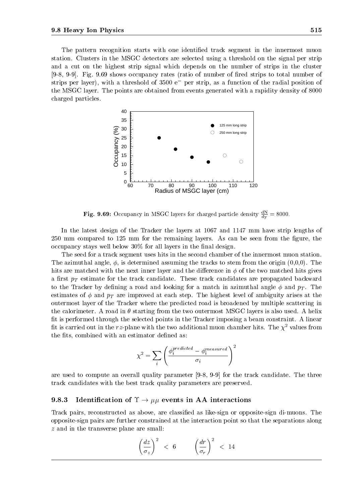The pattern recognition starts with one identified track segment in the innermost muon station. Clusters in the MSGC detectors are selected using a threshold on the signal per strip and a cut on the highest strip signal which depends on the number of strips in the cluster [9-8, 9-9]. Fig. 9.69 shows occupancy rates (ratio of number of fired strips to total number of strips per layer), with a threshold of 3500 e per strip, as a function of the radial position of the MSGC layer. The points are obtained from events generated with a rapidity density of 8000 charged particles.



**Fig. 9.69:** Occupancy in MSGC layers for charged particle density  $\frac{dy}{dx} = 8000$ .

In the latest design of the Tracker the layers at 1067 and 1147 mm have strip lengths of 250 mm compared to 125 mm for the remaining layers. As can be seen from the figure, the  $\alpha$  occupancy stays well below 30% for all layers in the final design.

The seed for a track segment uses hits in the second chamber of the innermost muon station. The azimuthal angle,  $\phi$ , is determined assuming the tracks to stem from the origin  $(0,0,0)$ . The hits are matched with the next inner layer and the difference in  $\phi$  of the two matched hits gives a rest pT estimate for the track candidate candidate. These tracker candidates are propagated backward can dis to the Trackers by demonstraction and looking for a match in and and produce  $\alpha$  ,  $\alpha$  ,  $\beta$  ,  $\beta$  ,  $\beta$ estimates of and pT are improved ateach step. The highest level of ambiguity arises at the outermost layer of the Tracker where the predicted road is broadened by multiple scattering in the calorimeter. A road in  $\theta$  starting from the two outermost MSGC layers is also used. A helix fit is performed through the selected points in the Tracker imposing a beam constraint. A linear fit is carried out in the rz-plane with the two additional muon chamber hits. The  $\chi^2$  values from the fits, combined with an estimator defined as:

$$
\chi^2 = \sum_i \left( \frac{\phi_i^{predicted} - \phi_i^{measured}}{\sigma_i} \right)^2
$$

are used to compute an overall quality parameter [9-8, 9-9] for the track candidate. The three track candidates with the best track quality parameters are preserved.

## 9.8.3 Identification of  $\Upsilon \rightarrow \mu\mu$  events in AA interactions

Track pairs, reconstructed as above, are classified as like-sign or opposite-sign di-muons. The opposite-sign pairs are further constrained at the interaction point so that the separations along z and in the transverse plane are small:

$$
\left(\frac{dz}{\sigma_z}\right)^2 < 6 \qquad \left(\frac{dr}{\sigma_r}\right)^2 < 14
$$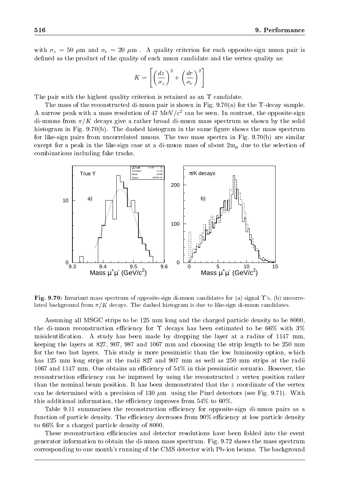with z  $\mu$  , and  $\mu$  and  $\mu$  . A guardian form and  $\mu$  criterion for each opposite sign muon pair is an anomaly defined as the product of the quality of each muon candidate and the vertex quality as:

$$
K = \left[ \left( \frac{dz}{\sigma_z} \right)^2 + \left( \frac{dr}{\sigma_r} \right)^2 \right]
$$

The pair with the highest quality criterion is retained as an  $\Upsilon$  candidate.

The mass of the reconstructed di-muon pair is shown in Fig. 9.70(a) for the  $\Upsilon$ -decay sample. A narrow peak with a mass resolution of 47 MeV/c can be seen. In contrast, the opposite-sign di-muons from  $\pi/K$  decays give a rather broad di-muon mass spectrum as shown by the solid histogram in Fig.  $9.70(b)$ . The dashed histogram in the same figure shows the mass spectrum for like-sign pairs from uncorrelated muons. The two mass spectra in Fig.  $9.70(b)$  are similar except for a peak in the like-sign case at a di-muon mass of about 2m due to the selection of about 2m due to the selection of about 2m due to the selection of about 2m due to the selection of about 2m due to the selectio combinations including fake tracks.



**Fig. 9.70:** Invariant mass spectrum of opposite-sign di-muon candidates for (a) signal  $\Upsilon$ 's, (b) uncorrelated background from  $\pi/K$  decays. The dashed histogram is due to like-sign di-muon candidates.

Assuming all MSGC strips to be 125 mm long and the charged particle density to be 8000, the di-muon reconstruction efficiency for  $\Upsilon$  decays has been estimated to be 66% with 3% misidentication. A study has been made by dropping the layer at a radius of 1147 mm, keeping the layers at 827, 907, 987 and 1067 mm and choosing the strip length to be 250 mm for the two last layers. This study is more pessimistic than the low luminosity option, which has 125 mm long strips at the radii 827 and 907 mm as well as 250 mm strips at the radii 1067 and 1147 mm. One obtains an efficiency of  $54\%$  in this pessimistic scenario. However, the reconstruction efficiency can be improved by using the reconstructed  $z$  vertex position rather than the nominal beam position. It has been demonstrated that the z coordinate of the vertex can be determined with a precision of 130  $\mu$ m using the Pixel detectors (see Fig. 9.71). With this additional information, the efficiency improves from  $54\%$  to  $60\%$ .

Table 9.11 summarises the reconstruction efficiency for opposite-sign di-muon pairs as a function of particle density. The efficiency decreases from  $90\%$  efficiency at low particle density to 66% for a charged particle density of 8000.

These reconstruction efficiencies and detector resolutions have been folded into the event generator information to obtain the di-muon mass spectrum. Fig. 9.72 shows the mass spectrum corresponding to one month's running of the CMS detector with Pb-ion beams. The background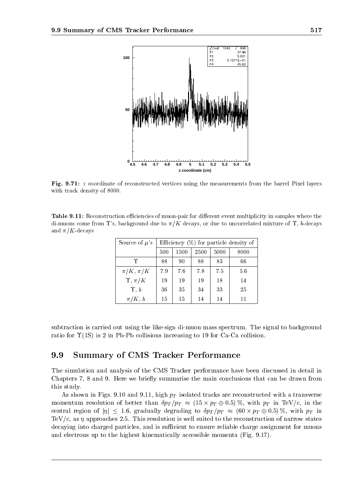

Fig. 9.71: <sup>z</sup> coordinate of reconstructed vertices using the measurements from the barrel Pixel layers with track density of 8000.

Table 9.11: Reconstruction eciencies of muon-pair for dierent event multiplicity in samples where the di-muons come from  $\Upsilon$ 's, background due to  $\pi/K$  decays, or due to uncorrelated mixture of  $\Upsilon$ , b-decays and  $\pi/K$ -decays

| Source of $\mu$ 's |     | Efficiency $(\%)$ for particle density of |      |      |      |  |  |
|--------------------|-----|-------------------------------------------|------|------|------|--|--|
|                    | 500 | 1500                                      | 2500 | 5000 | 8000 |  |  |
| Υ                  | 88  | 90                                        | 88   | 83   | 66   |  |  |
| $\pi/K, \pi/K$     | 7.9 | 7.6                                       | 7.8  | 75   | 5.6  |  |  |
| $\Upsilon, \pi/K$  | 19  | 19                                        | 19   | 18   | 14   |  |  |
| $\hat{r}, b$       | 36  | 35                                        | 34   | 33   | 25   |  |  |
| $\pi/K, b$         | 15  | 15                                        | 14   | 14   |      |  |  |

subtraction is carried out using the like-sign di-muon mass spectrum. The signal to background ratio for  $\Upsilon(1S)$  is 2 in Pb-Pb collisions increasing to 19 for Ca-Ca collision.

### 9.9Summary of CMS Tracker Performance

The simulation and analysis of the CMS Tracker performance have been discussed in detail in Chapters 7, 8 and 9. Here we briefly summarise the main conclusions that can be drawn from this study.

As shown in Figs. 9.10 and 9.111, high pT is constructed tracks are reconstructed with a transverse with a tra momentum resolution of better than pT =pT (15 - pT 0:5) %, with pT in TeV/c, in the central region of  $p$  iii  $p$  is gradually degraded to ptimize the pT intervals  $p$  is the pT intervals of  $p$  in  $p$  in  $p$  is the pT intervals of  $p$  in  $p$  is the pT intervals of  $p$  in  $p$  is the pT intervals of  $p$  i TeV/c, as  $\eta$  approaches 2.5. This resolution is well suited to the reconstruction of narrow states decaying into charged particles, and is sufficient to ensure reliable charge assignment for muons and electrons up to the highest kinematically accessible momenta (Fig. 9.17).